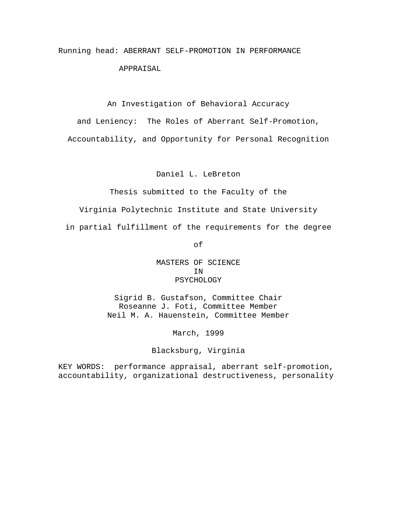# Running head: ABERRANT SELF-PROMOTION IN PERFORMANCE APPRAISAL

An Investigation of Behavioral Accuracy

and Leniency: The Roles of Aberrant Self-Promotion,

Accountability, and Opportunity for Personal Recognition

Daniel L. LeBreton

Thesis submitted to the Faculty of the

Virginia Polytechnic Institute and State University

in partial fulfillment of the requirements for the degree

of

MASTERS OF SCIENCE IN PSYCHOLOGY

Sigrid B. Gustafson, Committee Chair Roseanne J. Foti, Committee Member Neil M. A. Hauenstein, Committee Member

March, 1999

Blacksburg, Virginia

KEY WORDS: performance appraisal, aberrant self-promotion, accountability, organizational destructiveness, personality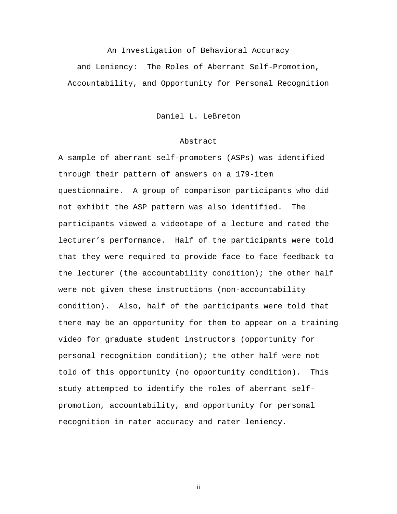## An Investigation of Behavioral Accuracy

and Leniency: The Roles of Aberrant Self-Promotion, Accountability, and Opportunity for Personal Recognition

Daniel L. LeBreton

## Abstract

A sample of aberrant self-promoters (ASPs) was identified through their pattern of answers on a 179-item questionnaire. A group of comparison participants who did not exhibit the ASP pattern was also identified. The participants viewed a videotape of a lecture and rated the lecturer's performance. Half of the participants were told that they were required to provide face-to-face feedback to the lecturer (the accountability condition); the other half were not given these instructions (non-accountability condition). Also, half of the participants were told that there may be an opportunity for them to appear on a training video for graduate student instructors (opportunity for personal recognition condition); the other half were not told of this opportunity (no opportunity condition). This study attempted to identify the roles of aberrant selfpromotion, accountability, and opportunity for personal recognition in rater accuracy and rater leniency.

ii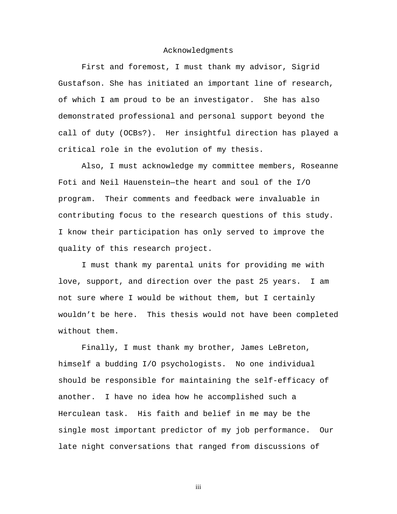#### Acknowledgments

First and foremost, I must thank my advisor, Sigrid Gustafson. She has initiated an important line of research, of which I am proud to be an investigator. She has also demonstrated professional and personal support beyond the call of duty (OCBs?). Her insightful direction has played a critical role in the evolution of my thesis.

Also, I must acknowledge my committee members, Roseanne Foti and Neil Hauenstein—the heart and soul of the I/O program. Their comments and feedback were invaluable in contributing focus to the research questions of this study. I know their participation has only served to improve the quality of this research project.

I must thank my parental units for providing me with love, support, and direction over the past 25 years. I am not sure where I would be without them, but I certainly wouldn't be here. This thesis would not have been completed without them.

Finally, I must thank my brother, James LeBreton, himself a budding I/O psychologists. No one individual should be responsible for maintaining the self-efficacy of another. I have no idea how he accomplished such a Herculean task. His faith and belief in me may be the single most important predictor of my job performance. Our late night conversations that ranged from discussions of

iii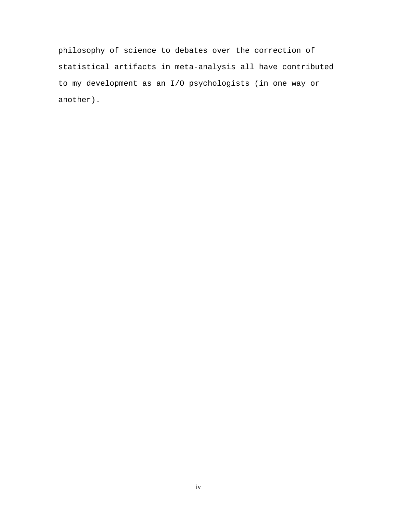philosophy of science to debates over the correction of statistical artifacts in meta-analysis all have contributed to my development as an I/O psychologists (in one way or another).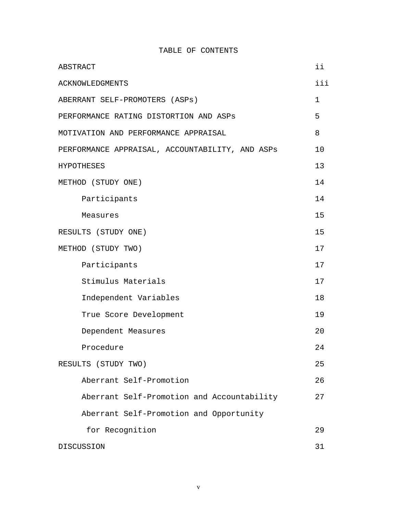TABLE OF CONTENTS

| ABSTRACT                                        | ii          |
|-------------------------------------------------|-------------|
| <b>ACKNOWLEDGMENTS</b>                          | iii         |
| ABERRANT SELF-PROMOTERS (ASPs)                  | $\mathbf 1$ |
| PERFORMANCE RATING DISTORTION AND ASPS          | 5           |
| MOTIVATION AND PERFORMANCE APPRAISAL            | 8           |
| PERFORMANCE APPRAISAL, ACCOUNTABILITY, AND ASPS | 10          |
| <b>HYPOTHESES</b>                               | 13          |
| METHOD (STUDY ONE)                              | 14          |
| Participants                                    | 14          |
| Measures                                        | 15          |
| RESULTS (STUDY ONE)                             | 15          |
| METHOD (STUDY TWO)                              | 17          |
| Participants                                    | 17          |
| Stimulus Materials                              | 17          |
| Independent Variables                           | 18          |
| True Score Development                          | 19          |
| Dependent Measures                              | 20          |
| Procedure                                       | 24          |
| RESULTS (STUDY TWO)                             | 25          |
| Aberrant Self-Promotion                         | 26          |
| Aberrant Self-Promotion and Accountability      | 27          |
| Aberrant Self-Promotion and Opportunity         |             |
| for Recognition                                 | 29          |
| DISCUSSION                                      | 31          |

v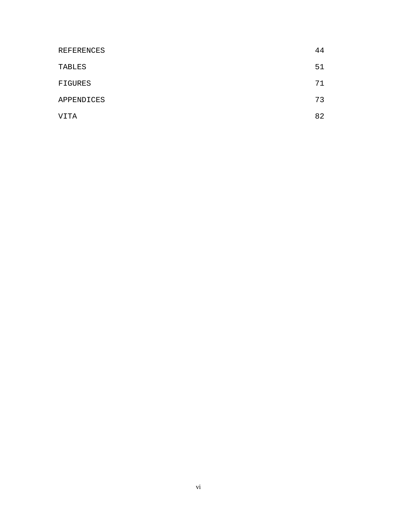| REFERENCES | 44 |
|------------|----|
| TABLES     | 51 |
| FIGURES    | 71 |
| APPENDICES | 73 |
| VITA       | 82 |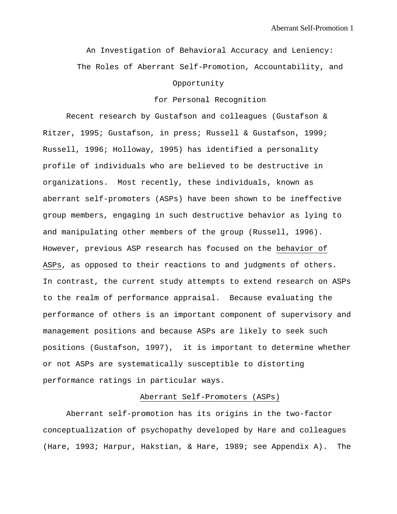An Investigation of Behavioral Accuracy and Leniency: The Roles of Aberrant Self-Promotion, Accountability, and Opportunity

## for Personal Recognition

Recent research by Gustafson and colleagues (Gustafson & Ritzer, 1995; Gustafson, in press; Russell & Gustafson, 1999; Russell, 1996; Holloway, 1995) has identified a personality profile of individuals who are believed to be destructive in organizations. Most recently, these individuals, known as aberrant self-promoters (ASPs) have been shown to be ineffective group members, engaging in such destructive behavior as lying to and manipulating other members of the group (Russell, 1996). However, previous ASP research has focused on the behavior of ASPs, as opposed to their reactions to and judgments of others. In contrast, the current study attempts to extend research on ASPs to the realm of performance appraisal. Because evaluating the performance of others is an important component of supervisory and management positions and because ASPs are likely to seek such positions (Gustafson, 1997), it is important to determine whether or not ASPs are systematically susceptible to distorting performance ratings in particular ways.

#### Aberrant Self-Promoters (ASPs)

Aberrant self-promotion has its origins in the two-factor conceptualization of psychopathy developed by Hare and colleagues (Hare, 1993; Harpur, Hakstian, & Hare, 1989; see Appendix A). The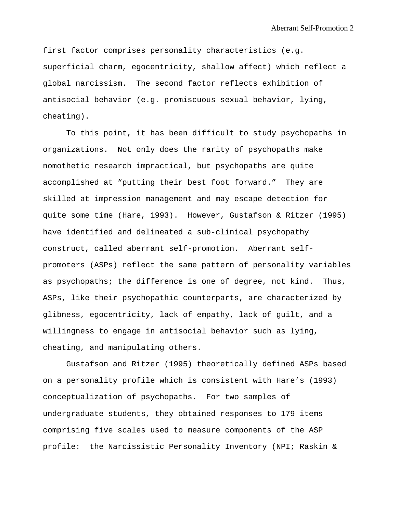first factor comprises personality characteristics (e.g. superficial charm, egocentricity, shallow affect) which reflect a global narcissism. The second factor reflects exhibition of antisocial behavior (e.g. promiscuous sexual behavior, lying, cheating).

To this point, it has been difficult to study psychopaths in organizations. Not only does the rarity of psychopaths make nomothetic research impractical, but psychopaths are quite accomplished at "putting their best foot forward." They are skilled at impression management and may escape detection for quite some time (Hare, 1993). However, Gustafson & Ritzer (1995) have identified and delineated a sub-clinical psychopathy construct, called aberrant self-promotion. Aberrant selfpromoters (ASPs) reflect the same pattern of personality variables as psychopaths; the difference is one of degree, not kind. Thus, ASPs, like their psychopathic counterparts, are characterized by glibness, egocentricity, lack of empathy, lack of guilt, and a willingness to engage in antisocial behavior such as lying, cheating, and manipulating others.

Gustafson and Ritzer (1995) theoretically defined ASPs based on a personality profile which is consistent with Hare's (1993) conceptualization of psychopaths. For two samples of undergraduate students, they obtained responses to 179 items comprising five scales used to measure components of the ASP profile: the Narcissistic Personality Inventory (NPI; Raskin &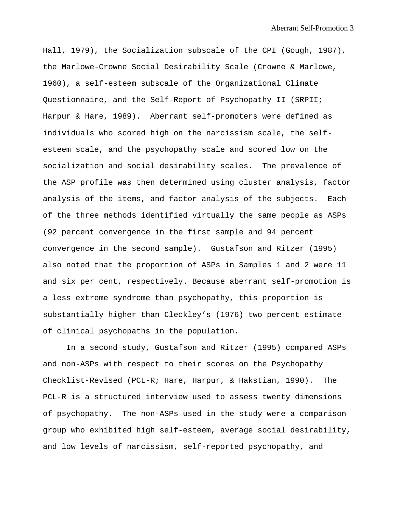Hall, 1979), the Socialization subscale of the CPI (Gough, 1987), the Marlowe-Crowne Social Desirability Scale (Crowne & Marlowe, 1960), a self-esteem subscale of the Organizational Climate Questionnaire, and the Self-Report of Psychopathy II (SRPII; Harpur & Hare, 1989). Aberrant self-promoters were defined as individuals who scored high on the narcissism scale, the selfesteem scale, and the psychopathy scale and scored low on the socialization and social desirability scales. The prevalence of the ASP profile was then determined using cluster analysis, factor analysis of the items, and factor analysis of the subjects. Each of the three methods identified virtually the same people as ASPs (92 percent convergence in the first sample and 94 percent convergence in the second sample). Gustafson and Ritzer (1995) also noted that the proportion of ASPs in Samples 1 and 2 were 11 and six per cent, respectively. Because aberrant self-promotion is a less extreme syndrome than psychopathy, this proportion is substantially higher than Cleckley's (1976) two percent estimate of clinical psychopaths in the population.

In a second study, Gustafson and Ritzer (1995) compared ASPs and non-ASPs with respect to their scores on the Psychopathy Checklist-Revised (PCL-R; Hare, Harpur, & Hakstian, 1990). The PCL-R is a structured interview used to assess twenty dimensions of psychopathy. The non-ASPs used in the study were a comparison group who exhibited high self-esteem, average social desirability, and low levels of narcissism, self-reported psychopathy, and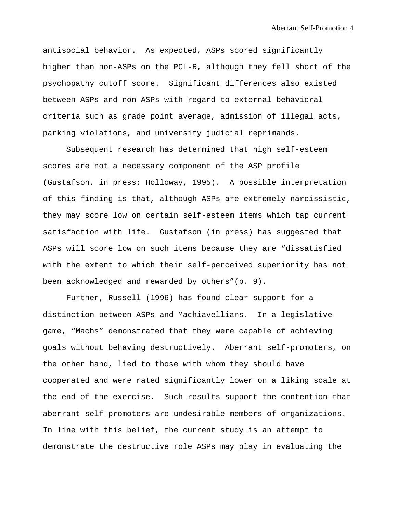antisocial behavior. As expected, ASPs scored significantly higher than non-ASPs on the PCL-R, although they fell short of the psychopathy cutoff score. Significant differences also existed between ASPs and non-ASPs with regard to external behavioral criteria such as grade point average, admission of illegal acts, parking violations, and university judicial reprimands.

Subsequent research has determined that high self-esteem scores are not a necessary component of the ASP profile (Gustafson, in press; Holloway, 1995). A possible interpretation of this finding is that, although ASPs are extremely narcissistic, they may score low on certain self-esteem items which tap current satisfaction with life. Gustafson (in press) has suggested that ASPs will score low on such items because they are "dissatisfied with the extent to which their self-perceived superiority has not been acknowledged and rewarded by others"(p. 9).

Further, Russell (1996) has found clear support for a distinction between ASPs and Machiavellians. In a legislative game, "Machs" demonstrated that they were capable of achieving goals without behaving destructively. Aberrant self-promoters, on the other hand, lied to those with whom they should have cooperated and were rated significantly lower on a liking scale at the end of the exercise. Such results support the contention that aberrant self-promoters are undesirable members of organizations. In line with this belief, the current study is an attempt to demonstrate the destructive role ASPs may play in evaluating the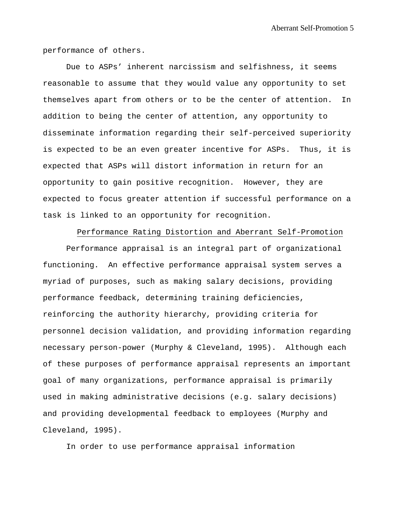performance of others.

Due to ASPs' inherent narcissism and selfishness, it seems reasonable to assume that they would value any opportunity to set themselves apart from others or to be the center of attention. In addition to being the center of attention, any opportunity to disseminate information regarding their self-perceived superiority is expected to be an even greater incentive for ASPs. Thus, it is expected that ASPs will distort information in return for an opportunity to gain positive recognition. However, they are expected to focus greater attention if successful performance on a task is linked to an opportunity for recognition.

Performance Rating Distortion and Aberrant Self-Promotion

Performance appraisal is an integral part of organizational functioning. An effective performance appraisal system serves a myriad of purposes, such as making salary decisions, providing performance feedback, determining training deficiencies, reinforcing the authority hierarchy, providing criteria for personnel decision validation, and providing information regarding necessary person-power (Murphy & Cleveland, 1995). Although each of these purposes of performance appraisal represents an important goal of many organizations, performance appraisal is primarily used in making administrative decisions (e.g. salary decisions) and providing developmental feedback to employees (Murphy and Cleveland, 1995).

In order to use performance appraisal information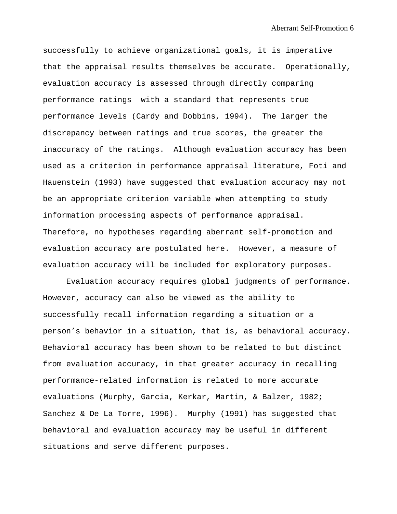successfully to achieve organizational goals, it is imperative that the appraisal results themselves be accurate. Operationally, evaluation accuracy is assessed through directly comparing performance ratings with a standard that represents true performance levels (Cardy and Dobbins, 1994). The larger the discrepancy between ratings and true scores, the greater the inaccuracy of the ratings. Although evaluation accuracy has been used as a criterion in performance appraisal literature, Foti and Hauenstein (1993) have suggested that evaluation accuracy may not be an appropriate criterion variable when attempting to study information processing aspects of performance appraisal. Therefore, no hypotheses regarding aberrant self-promotion and evaluation accuracy are postulated here. However, a measure of evaluation accuracy will be included for exploratory purposes.

Evaluation accuracy requires global judgments of performance. However, accuracy can also be viewed as the ability to successfully recall information regarding a situation or a person's behavior in a situation, that is, as behavioral accuracy. Behavioral accuracy has been shown to be related to but distinct from evaluation accuracy, in that greater accuracy in recalling performance-related information is related to more accurate evaluations (Murphy, Garcia, Kerkar, Martin, & Balzer, 1982; Sanchez & De La Torre, 1996). Murphy (1991) has suggested that behavioral and evaluation accuracy may be useful in different situations and serve different purposes.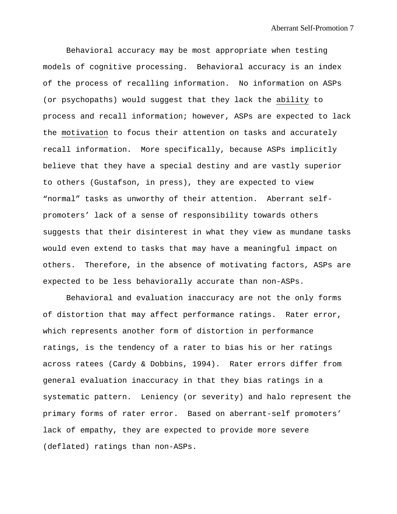Behavioral accuracy may be most appropriate when testing models of cognitive processing. Behavioral accuracy is an index of the process of recalling information. No information on ASPs (or psychopaths) would suggest that they lack the ability to process and recall information; however, ASPs are expected to lack the motivation to focus their attention on tasks and accurately recall information. More specifically, because ASPs implicitly believe that they have a special destiny and are vastly superior to others (Gustafson, in press), they are expected to view "normal" tasks as unworthy of their attention. Aberrant selfpromoters' lack of a sense of responsibility towards others suggests that their disinterest in what they view as mundane tasks would even extend to tasks that may have a meaningful impact on others. Therefore, in the absence of motivating factors, ASPs are expected to be less behaviorally accurate than non-ASPs.

Behavioral and evaluation inaccuracy are not the only forms of distortion that may affect performance ratings. Rater error, which represents another form of distortion in performance ratings, is the tendency of a rater to bias his or her ratings across ratees (Cardy & Dobbins, 1994). Rater errors differ from general evaluation inaccuracy in that they bias ratings in a systematic pattern. Leniency (or severity) and halo represent the primary forms of rater error. Based on aberrant-self promoters' lack of empathy, they are expected to provide more severe (deflated) ratings than non-ASPs.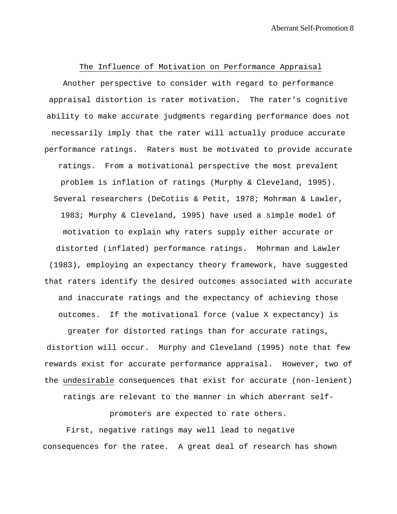The Influence of Motivation on Performance Appraisal Another perspective to consider with regard to performance appraisal distortion is rater motivation. The rater's cognitive ability to make accurate judgments regarding performance does not necessarily imply that the rater will actually produce accurate performance ratings. Raters must be motivated to provide accurate ratings. From a motivational perspective the most prevalent problem is inflation of ratings (Murphy & Cleveland, 1995). Several researchers (DeCotiis & Petit, 1978; Mohrman & Lawler, 1983; Murphy & Cleveland, 1995) have used a simple model of motivation to explain why raters supply either accurate or distorted (inflated) performance ratings. Mohrman and Lawler (1983), employing an expectancy theory framework, have suggested that raters identify the desired outcomes associated with accurate and inaccurate ratings and the expectancy of achieving those outcomes. If the motivational force (value X expectancy) is

greater for distorted ratings than for accurate ratings, distortion will occur. Murphy and Cleveland (1995) note that few rewards exist for accurate performance appraisal. However, two of the undesirable consequences that exist for accurate (non-lenient)

ratings are relevant to the manner in which aberrant self-

promoters are expected to rate others.

First, negative ratings may well lead to negative consequences for the ratee. A great deal of research has shown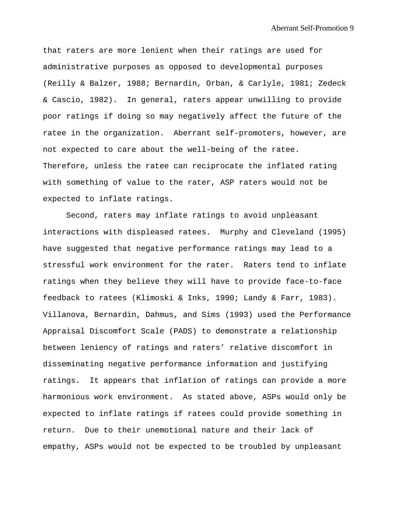that raters are more lenient when their ratings are used for administrative purposes as opposed to developmental purposes (Reilly & Balzer, 1988; Bernardin, Orban, & Carlyle, 1981; Zedeck & Cascio, 1982). In general, raters appear unwilling to provide poor ratings if doing so may negatively affect the future of the ratee in the organization. Aberrant self-promoters, however, are not expected to care about the well-being of the ratee. Therefore, unless the ratee can reciprocate the inflated rating with something of value to the rater, ASP raters would not be expected to inflate ratings.

Second, raters may inflate ratings to avoid unpleasant interactions with displeased ratees. Murphy and Cleveland (1995) have suggested that negative performance ratings may lead to a stressful work environment for the rater. Raters tend to inflate ratings when they believe they will have to provide face-to-face feedback to ratees (Klimoski & Inks, 1990; Landy & Farr, 1983). Villanova, Bernardin, Dahmus, and Sims (1993) used the Performance Appraisal Discomfort Scale (PADS) to demonstrate a relationship between leniency of ratings and raters' relative discomfort in disseminating negative performance information and justifying ratings. It appears that inflation of ratings can provide a more harmonious work environment. As stated above, ASPs would only be expected to inflate ratings if ratees could provide something in return. Due to their unemotional nature and their lack of empathy, ASPs would not be expected to be troubled by unpleasant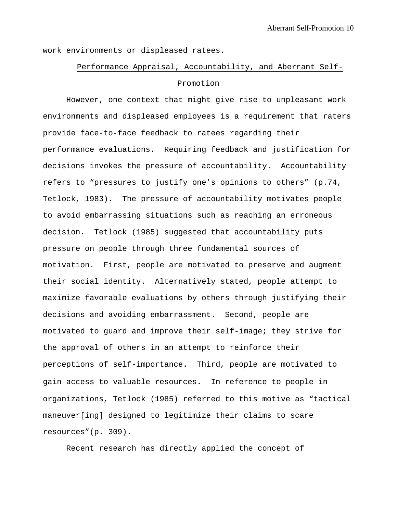work environments or displeased ratees.

# Performance Appraisal, Accountability, and Aberrant Self-Promotion

However, one context that might give rise to unpleasant work environments and displeased employees is a requirement that raters provide face-to-face feedback to ratees regarding their performance evaluations. Requiring feedback and justification for decisions invokes the pressure of accountability. Accountability refers to "pressures to justify one's opinions to others" (p.74, Tetlock, 1983). The pressure of accountability motivates people to avoid embarrassing situations such as reaching an erroneous decision. Tetlock (1985) suggested that accountability puts pressure on people through three fundamental sources of motivation. First, people are motivated to preserve and augment their social identity. Alternatively stated, people attempt to maximize favorable evaluations by others through justifying their decisions and avoiding embarrassment. Second, people are motivated to guard and improve their self-image; they strive for the approval of others in an attempt to reinforce their perceptions of self-importance**.** Third, people are motivated to gain access to valuable resources**.** In reference to people in organizations, Tetlock (1985) referred to this motive as "tactical maneuver[ing] designed to legitimize their claims to scare resources"(p. 309).

Recent research has directly applied the concept of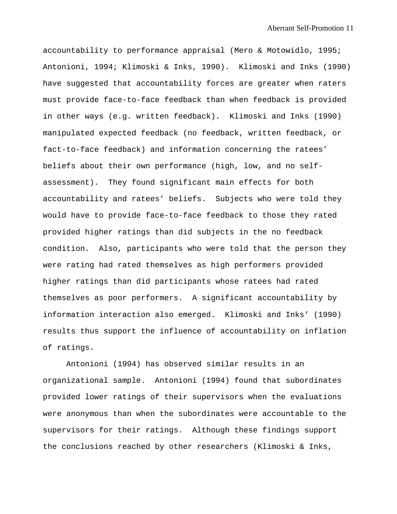accountability to performance appraisal (Mero & Motowidlo, 1995; Antonioni, 1994; Klimoski & Inks, 1990). Klimoski and Inks (1990) have suggested that accountability forces are greater when raters must provide face-to-face feedback than when feedback is provided in other ways (e.g. written feedback). Klimoski and Inks (1990) manipulated expected feedback (no feedback, written feedback, or fact-to-face feedback) and information concerning the ratees' beliefs about their own performance (high, low, and no selfassessment). They found significant main effects for both accountability and ratees' beliefs. Subjects who were told they would have to provide face-to-face feedback to those they rated provided higher ratings than did subjects in the no feedback condition. Also, participants who were told that the person they were rating had rated themselves as high performers provided higher ratings than did participants whose ratees had rated themselves as poor performers. A significant accountability by information interaction also emerged. Klimoski and Inks' (1990) results thus support the influence of accountability on inflation of ratings.

Antonioni (1994) has observed similar results in an organizational sample. Antonioni (1994) found that subordinates provided lower ratings of their supervisors when the evaluations were anonymous than when the subordinates were accountable to the supervisors for their ratings. Although these findings support the conclusions reached by other researchers (Klimoski & Inks,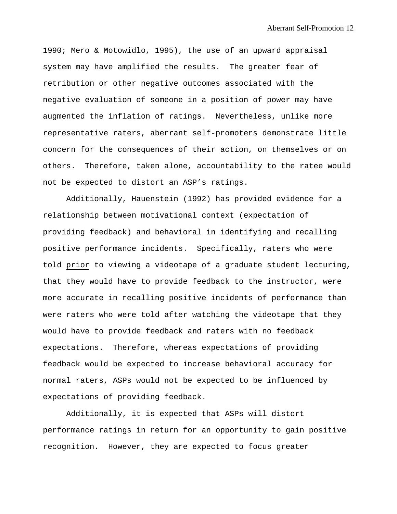1990; Mero & Motowidlo, 1995), the use of an upward appraisal system may have amplified the results. The greater fear of retribution or other negative outcomes associated with the negative evaluation of someone in a position of power may have augmented the inflation of ratings. Nevertheless, unlike more representative raters, aberrant self-promoters demonstrate little concern for the consequences of their action, on themselves or on others. Therefore, taken alone, accountability to the ratee would not be expected to distort an ASP's ratings.

Additionally, Hauenstein (1992) has provided evidence for a relationship between motivational context (expectation of providing feedback) and behavioral in identifying and recalling positive performance incidents. Specifically, raters who were told prior to viewing a videotape of a graduate student lecturing, that they would have to provide feedback to the instructor, were more accurate in recalling positive incidents of performance than were raters who were told after watching the videotape that they would have to provide feedback and raters with no feedback expectations. Therefore, whereas expectations of providing feedback would be expected to increase behavioral accuracy for normal raters, ASPs would not be expected to be influenced by expectations of providing feedback.

Additionally, it is expected that ASPs will distort performance ratings in return for an opportunity to gain positive recognition. However, they are expected to focus greater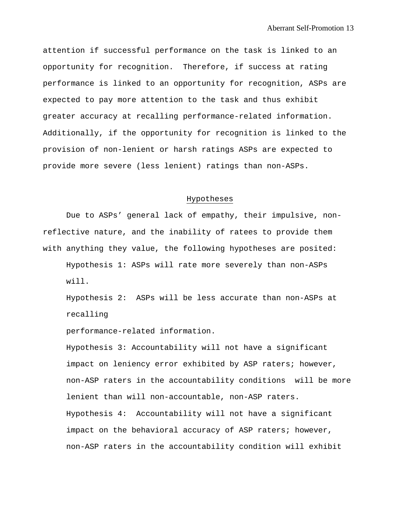attention if successful performance on the task is linked to an opportunity for recognition. Therefore, if success at rating performance is linked to an opportunity for recognition, ASPs are expected to pay more attention to the task and thus exhibit greater accuracy at recalling performance-related information. Additionally, if the opportunity for recognition is linked to the provision of non-lenient or harsh ratings ASPs are expected to provide more severe (less lenient) ratings than non-ASPs.

### Hypotheses

Due to ASPs' general lack of empathy, their impulsive, nonreflective nature, and the inability of ratees to provide them with anything they value, the following hypotheses are posited:

Hypothesis 1: ASPs will rate more severely than non-ASPs will.

Hypothesis 2: ASPs will be less accurate than non-ASPs at recalling

performance-related information.

Hypothesis 3: Accountability will not have a significant impact on leniency error exhibited by ASP raters; however, non-ASP raters in the accountability conditions will be more lenient than will non-accountable, non-ASP raters. Hypothesis 4: Accountability will not have a significant impact on the behavioral accuracy of ASP raters; however, non-ASP raters in the accountability condition will exhibit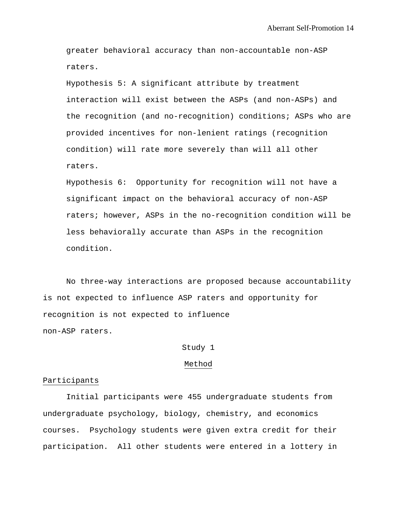greater behavioral accuracy than non-accountable non-ASP raters.

Hypothesis 5: A significant attribute by treatment interaction will exist between the ASPs (and non-ASPs) and the recognition (and no-recognition) conditions; ASPs who are provided incentives for non-lenient ratings (recognition condition) will rate more severely than will all other raters.

Hypothesis 6: Opportunity for recognition will not have a significant impact on the behavioral accuracy of non-ASP raters; however, ASPs in the no-recognition condition will be less behaviorally accurate than ASPs in the recognition condition.

No three-way interactions are proposed because accountability is not expected to influence ASP raters and opportunity for recognition is not expected to influence non-ASP raters.

# Study 1

#### Method

#### Participants

Initial participants were 455 undergraduate students from undergraduate psychology, biology, chemistry, and economics courses. Psychology students were given extra credit for their participation. All other students were entered in a lottery in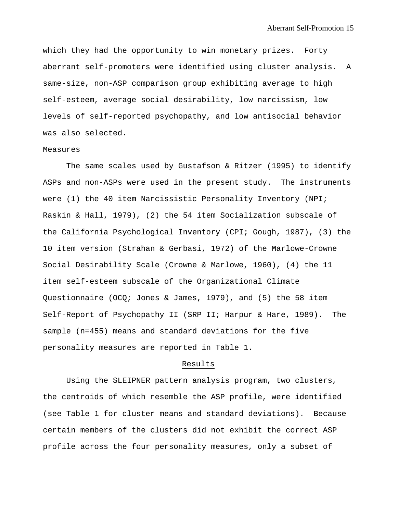which they had the opportunity to win monetary prizes. Forty aberrant self-promoters were identified using cluster analysis. A same-size, non-ASP comparison group exhibiting average to high self-esteem, average social desirability, low narcissism, low levels of self-reported psychopathy, and low antisocial behavior was also selected.

### Measures

The same scales used by Gustafson & Ritzer (1995) to identify ASPs and non-ASPs were used in the present study. The instruments were (1) the 40 item Narcissistic Personality Inventory (NPI; Raskin & Hall, 1979), (2) the 54 item Socialization subscale of the California Psychological Inventory (CPI; Gough, 1987), (3) the 10 item version (Strahan & Gerbasi, 1972) of the Marlowe-Crowne Social Desirability Scale (Crowne & Marlowe, 1960), (4) the 11 item self-esteem subscale of the Organizational Climate Questionnaire (OCQ; Jones & James, 1979), and (5) the 58 item Self-Report of Psychopathy II (SRP II; Harpur & Hare, 1989). The sample (n=455) means and standard deviations for the five personality measures are reported in Table 1.

#### Results

Using the SLEIPNER pattern analysis program, two clusters, the centroids of which resemble the ASP profile, were identified (see Table 1 for cluster means and standard deviations). Because certain members of the clusters did not exhibit the correct ASP profile across the four personality measures, only a subset of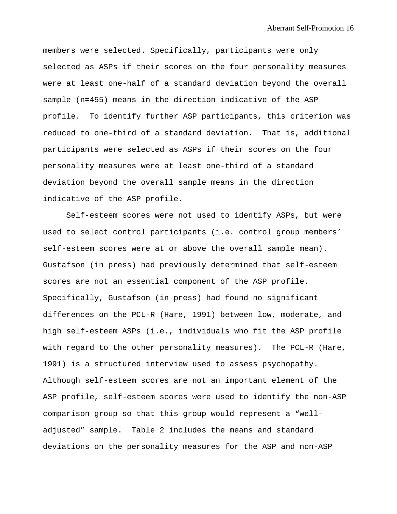members were selected. Specifically, participants were only selected as ASPs if their scores on the four personality measures were at least one-half of a standard deviation beyond the overall sample (n=455) means in the direction indicative of the ASP profile. To identify further ASP participants, this criterion was reduced to one-third of a standard deviation. That is, additional participants were selected as ASPs if their scores on the four personality measures were at least one-third of a standard deviation beyond the overall sample means in the direction indicative of the ASP profile.

Self-esteem scores were not used to identify ASPs, but were used to select control participants (i.e. control group members' self-esteem scores were at or above the overall sample mean). Gustafson (in press) had previously determined that self-esteem scores are not an essential component of the ASP profile. Specifically, Gustafson (in press) had found no significant differences on the PCL-R (Hare, 1991) between low, moderate, and high self-esteem ASPs (i.e., individuals who fit the ASP profile with regard to the other personality measures). The PCL-R (Hare, 1991) is a structured interview used to assess psychopathy. Although self-esteem scores are not an important element of the ASP profile, self-esteem scores were used to identify the non-ASP comparison group so that this group would represent a "welladjusted" sample. Table 2 includes the means and standard deviations on the personality measures for the ASP and non-ASP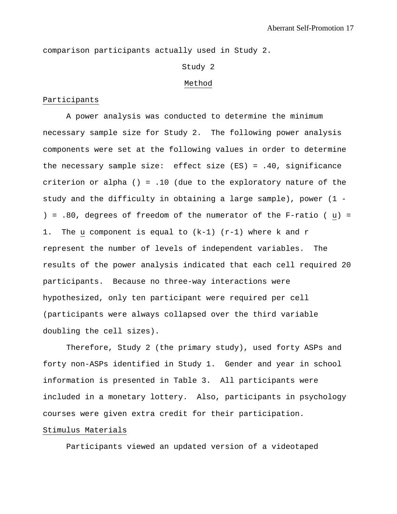comparison participants actually used in Study 2.

#### Study 2

#### Method

## Participants

A power analysis was conducted to determine the minimum necessary sample size for Study 2. The following power analysis components were set at the following values in order to determine the necessary sample size: effect size (ES) = .40, significance criterion or alpha () =  $.10$  (due to the exploratory nature of the study and the difficulty in obtaining a large sample), power (1 - ) =  $.80$ , degrees of freedom of the numerator of the F-ratio (u) = 1. The u component is equal to (k-1) (r-1) where k and r represent the number of levels of independent variables. The results of the power analysis indicated that each cell required 20 participants. Because no three-way interactions were hypothesized, only ten participant were required per cell (participants were always collapsed over the third variable doubling the cell sizes).

Therefore, Study 2 (the primary study), used forty ASPs and forty non-ASPs identified in Study 1. Gender and year in school information is presented in Table 3. All participants were included in a monetary lottery. Also, participants in psychology courses were given extra credit for their participation.

### Stimulus Materials

Participants viewed an updated version of a videotaped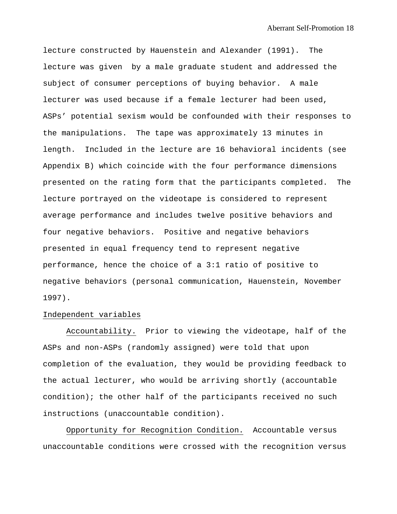lecture constructed by Hauenstein and Alexander (1991). The lecture was given by a male graduate student and addressed the subject of consumer perceptions of buying behavior. A male lecturer was used because if a female lecturer had been used, ASPs' potential sexism would be confounded with their responses to the manipulations. The tape was approximately 13 minutes in length. Included in the lecture are 16 behavioral incidents (see Appendix B) which coincide with the four performance dimensions presented on the rating form that the participants completed. The lecture portrayed on the videotape is considered to represent average performance and includes twelve positive behaviors and four negative behaviors. Positive and negative behaviors presented in equal frequency tend to represent negative performance, hence the choice of a 3:1 ratio of positive to negative behaviors (personal communication, Hauenstein, November 1997).

#### Independent variables

Accountability. Prior to viewing the videotape, half of the ASPs and non-ASPs (randomly assigned) were told that upon completion of the evaluation, they would be providing feedback to the actual lecturer, who would be arriving shortly (accountable condition); the other half of the participants received no such instructions (unaccountable condition).

Opportunity for Recognition Condition. Accountable versus unaccountable conditions were crossed with the recognition versus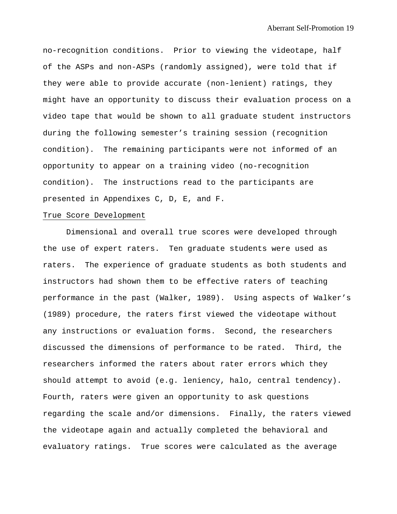no-recognition conditions. Prior to viewing the videotape, half of the ASPs and non-ASPs (randomly assigned), were told that if they were able to provide accurate (non-lenient) ratings, they might have an opportunity to discuss their evaluation process on a video tape that would be shown to all graduate student instructors during the following semester's training session (recognition condition). The remaining participants were not informed of an opportunity to appear on a training video (no-recognition condition). The instructions read to the participants are presented in Appendixes C, D, E, and F.

### True Score Development

Dimensional and overall true scores were developed through the use of expert raters. Ten graduate students were used as raters. The experience of graduate students as both students and instructors had shown them to be effective raters of teaching performance in the past (Walker, 1989). Using aspects of Walker's (1989) procedure, the raters first viewed the videotape without any instructions or evaluation forms. Second, the researchers discussed the dimensions of performance to be rated. Third, the researchers informed the raters about rater errors which they should attempt to avoid (e.g. leniency, halo, central tendency). Fourth, raters were given an opportunity to ask questions regarding the scale and/or dimensions. Finally, the raters viewed the videotape again and actually completed the behavioral and evaluatory ratings. True scores were calculated as the average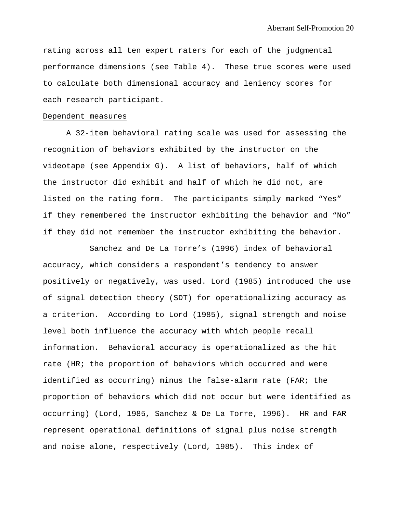rating across all ten expert raters for each of the judgmental performance dimensions (see Table 4). These true scores were used to calculate both dimensional accuracy and leniency scores for each research participant.

#### Dependent measures

A 32-item behavioral rating scale was used for assessing the recognition of behaviors exhibited by the instructor on the videotape (see Appendix G). A list of behaviors, half of which the instructor did exhibit and half of which he did not, are listed on the rating form. The participants simply marked "Yes" if they remembered the instructor exhibiting the behavior and "No" if they did not remember the instructor exhibiting the behavior.

Sanchez and De La Torre's (1996) index of behavioral accuracy, which considers a respondent's tendency to answer positively or negatively, was used. Lord (1985) introduced the use of signal detection theory (SDT) for operationalizing accuracy as a criterion. According to Lord (1985), signal strength and noise level both influence the accuracy with which people recall information. Behavioral accuracy is operationalized as the hit rate (HR; the proportion of behaviors which occurred and were identified as occurring) minus the false-alarm rate (FAR; the proportion of behaviors which did not occur but were identified as occurring) (Lord, 1985, Sanchez & De La Torre, 1996). HR and FAR represent operational definitions of signal plus noise strength and noise alone, respectively (Lord, 1985). This index of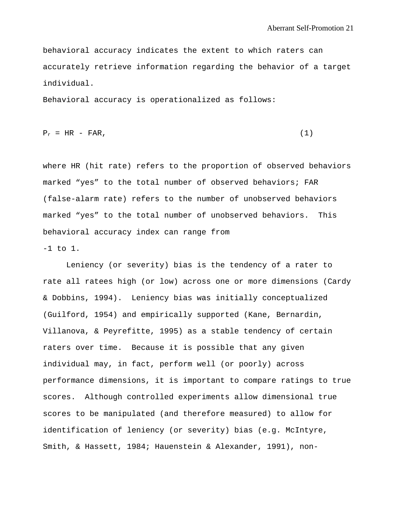behavioral accuracy indicates the extent to which raters can accurately retrieve information regarding the behavior of a target individual.

Behavioral accuracy is operationalized as follows:

$$
P_r = HR - FAR, \qquad (1)
$$

where HR (hit rate) refers to the proportion of observed behaviors marked "yes" to the total number of observed behaviors; FAR (false-alarm rate) refers to the number of unobserved behaviors marked "yes" to the total number of unobserved behaviors. This behavioral accuracy index can range from -1 to 1.

Leniency (or severity) bias is the tendency of a rater to rate all ratees high (or low) across one or more dimensions (Cardy & Dobbins, 1994). Leniency bias was initially conceptualized (Guilford, 1954) and empirically supported (Kane, Bernardin, Villanova, & Peyrefitte, 1995) as a stable tendency of certain raters over time. Because it is possible that any given individual may, in fact, perform well (or poorly) across performance dimensions, it is important to compare ratings to true scores. Although controlled experiments allow dimensional true scores to be manipulated (and therefore measured) to allow for identification of leniency (or severity) bias (e.g. McIntyre, Smith, & Hassett, 1984; Hauenstein & Alexander, 1991), non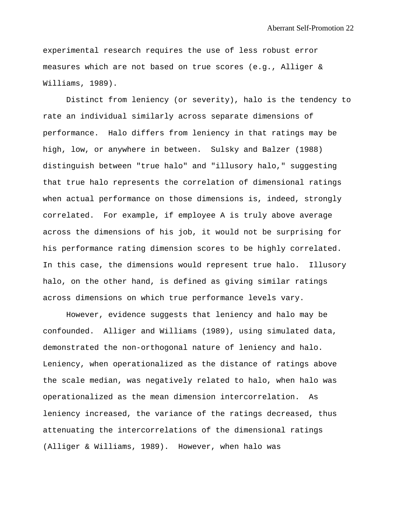experimental research requires the use of less robust error measures which are not based on true scores (e.g., Alliger & Williams, 1989).

Distinct from leniency (or severity), halo is the tendency to rate an individual similarly across separate dimensions of performance. Halo differs from leniency in that ratings may be high, low, or anywhere in between. Sulsky and Balzer (1988) distinguish between "true halo" and "illusory halo," suggesting that true halo represents the correlation of dimensional ratings when actual performance on those dimensions is, indeed, strongly correlated. For example, if employee A is truly above average across the dimensions of his job, it would not be surprising for his performance rating dimension scores to be highly correlated. In this case, the dimensions would represent true halo. Illusory halo, on the other hand, is defined as giving similar ratings across dimensions on which true performance levels vary.

However, evidence suggests that leniency and halo may be confounded. Alliger and Williams (1989), using simulated data, demonstrated the non-orthogonal nature of leniency and halo. Leniency, when operationalized as the distance of ratings above the scale median, was negatively related to halo, when halo was operationalized as the mean dimension intercorrelation. As leniency increased, the variance of the ratings decreased, thus attenuating the intercorrelations of the dimensional ratings (Alliger & Williams, 1989). However, when halo was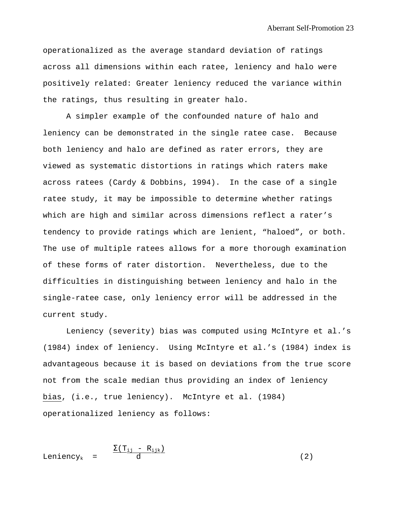operationalized as the average standard deviation of ratings across all dimensions within each ratee, leniency and halo were positively related: Greater leniency reduced the variance within the ratings, thus resulting in greater halo.

A simpler example of the confounded nature of halo and leniency can be demonstrated in the single ratee case. Because both leniency and halo are defined as rater errors, they are viewed as systematic distortions in ratings which raters make across ratees (Cardy & Dobbins, 1994). In the case of a single ratee study, it may be impossible to determine whether ratings which are high and similar across dimensions reflect a rater's tendency to provide ratings which are lenient, "haloed", or both. The use of multiple ratees allows for a more thorough examination of these forms of rater distortion. Nevertheless, due to the difficulties in distinguishing between leniency and halo in the single-ratee case, only leniency error will be addressed in the current study.

Leniency (severity) bias was computed using McIntyre et al.'s (1984) index of leniency. Using McIntyre et al.'s (1984) index is advantageous because it is based on deviations from the true score not from the scale median thus providing an index of leniency bias, (i.e., true leniency). McIntyre et al. (1984) operationalized leniency as follows:

$$
Leniency_k = \frac{\sum (T_{ij} - R_{ijk})}{d}
$$
 (2)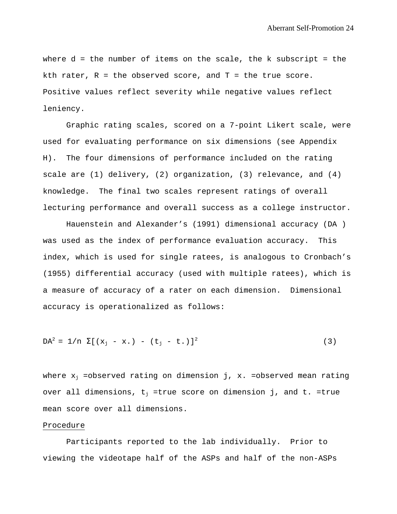where  $d = th$ e number of items on the scale, the k subscript = the kth rater,  $R = the observed score, and T = the true score.$ Positive values reflect severity while negative values reflect leniency.

Graphic rating scales, scored on a 7-point Likert scale, were used for evaluating performance on six dimensions (see Appendix H). The four dimensions of performance included on the rating scale are (1) delivery, (2) organization, (3) relevance, and (4) knowledge. The final two scales represent ratings of overall lecturing performance and overall success as a college instructor.

Hauenstein and Alexander's (1991) dimensional accuracy (DA ) was used as the index of performance evaluation accuracy. This index, which is used for single ratees, is analogous to Cronbach's (1955) differential accuracy (used with multiple ratees), which is a measure of accuracy of a rater on each dimension. Dimensional accuracy is operationalized as follows:

$$
DA^{2} = 1/n \sum [(x_{j} - x_{\cdot}) - (t_{j} - t_{\cdot})]^{2}
$$
 (3)

where  $x_i$  =observed rating on dimension j, x. =observed mean rating over all dimensions,  $t_j$  =true score on dimension j, and  $t$ . =true mean score over all dimensions.

#### Procedure

Participants reported to the lab individually. Prior to viewing the videotape half of the ASPs and half of the non-ASPs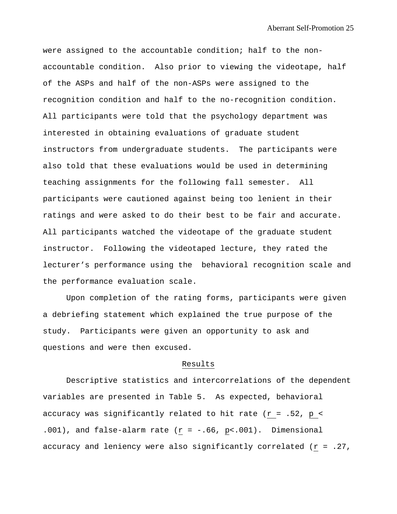were assigned to the accountable condition; half to the nonaccountable condition. Also prior to viewing the videotape, half of the ASPs and half of the non-ASPs were assigned to the recognition condition and half to the no-recognition condition. All participants were told that the psychology department was interested in obtaining evaluations of graduate student instructors from undergraduate students. The participants were also told that these evaluations would be used in determining teaching assignments for the following fall semester. All participants were cautioned against being too lenient in their ratings and were asked to do their best to be fair and accurate. All participants watched the videotape of the graduate student instructor. Following the videotaped lecture, they rated the lecturer's performance using the behavioral recognition scale and the performance evaluation scale.

Upon completion of the rating forms, participants were given a debriefing statement which explained the true purpose of the study. Participants were given an opportunity to ask and questions and were then excused.

#### Results

Descriptive statistics and intercorrelations of the dependent variables are presented in Table 5. As expected, behavioral accuracy was significantly related to hit rate ( $r = .52$ ,  $p <$  $.001$ ), and false-alarm rate (r = -.66, p<.001). Dimensional accuracy and leniency were also significantly correlated  $(r = .27)$ ,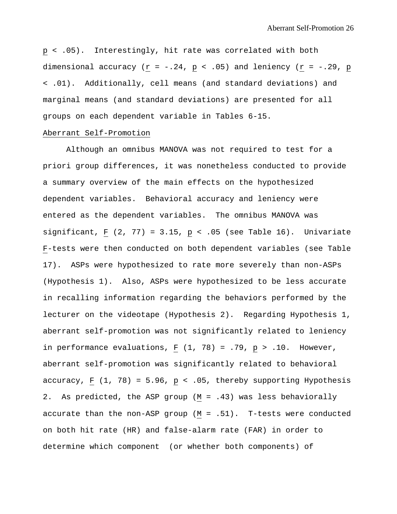p < .05). Interestingly, hit rate was correlated with both dimensional accuracy ( $r = -.24$ ,  $p < .05$ ) and leniency ( $r = -.29$ ,  $p$ < .01). Additionally, cell means (and standard deviations) and marginal means (and standard deviations) are presented for all groups on each dependent variable in Tables 6-15.

#### Aberrant Self-Promotion

Although an omnibus MANOVA was not required to test for a priori group differences, it was nonetheless conducted to provide a summary overview of the main effects on the hypothesized dependent variables. Behavioral accuracy and leniency were entered as the dependent variables. The omnibus MANOVA was significant, F  $(2, 77) = 3.15$ , p < .05 (see Table 16). Univariate F-tests were then conducted on both dependent variables (see Table 17). ASPs were hypothesized to rate more severely than non-ASPs (Hypothesis 1). Also, ASPs were hypothesized to be less accurate in recalling information regarding the behaviors performed by the lecturer on the videotape (Hypothesis 2). Regarding Hypothesis 1, aberrant self-promotion was not significantly related to leniency in performance evaluations,  $\underline{F}$  (1, 78) = .79,  $\underline{p}$  > .10. However, aberrant self-promotion was significantly related to behavioral accuracy,  $F (1, 78) = 5.96$ ,  $p < .05$ , thereby supporting Hypothesis 2. As predicted, the ASP group (M = .43) was less behaviorally accurate than the non-ASP group  $(M = .51)$ . T-tests were conducted on both hit rate (HR) and false-alarm rate (FAR) in order to determine which component (or whether both components) of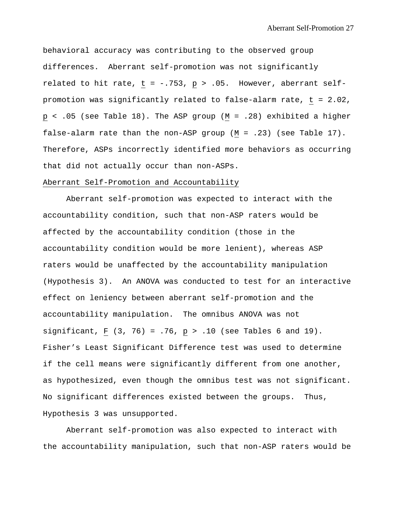behavioral accuracy was contributing to the observed group differences. Aberrant self-promotion was not significantly related to hit rate,  $t = -.753$ ,  $p > .05$ . However, aberrant selfpromotion was significantly related to false-alarm rate, t = 2.02, p < .05 (see Table 18). The ASP group (M = .28) exhibited a higher false-alarm rate than the non-ASP group (M = .23) (see Table 17). Therefore, ASPs incorrectly identified more behaviors as occurring that did not actually occur than non-ASPs.

# Aberrant Self-Promotion and Accountability

Aberrant self-promotion was expected to interact with the accountability condition, such that non-ASP raters would be affected by the accountability condition (those in the accountability condition would be more lenient), whereas ASP raters would be unaffected by the accountability manipulation (Hypothesis 3). An ANOVA was conducted to test for an interactive effect on leniency between aberrant self-promotion and the accountability manipulation. The omnibus ANOVA was not significant, F  $(3, 76) = .76$ ,  $p > .10$  (see Tables 6 and 19). Fisher's Least Significant Difference test was used to determine if the cell means were significantly different from one another, as hypothesized, even though the omnibus test was not significant. No significant differences existed between the groups. Thus, Hypothesis 3 was unsupported.

Aberrant self-promotion was also expected to interact with the accountability manipulation, such that non-ASP raters would be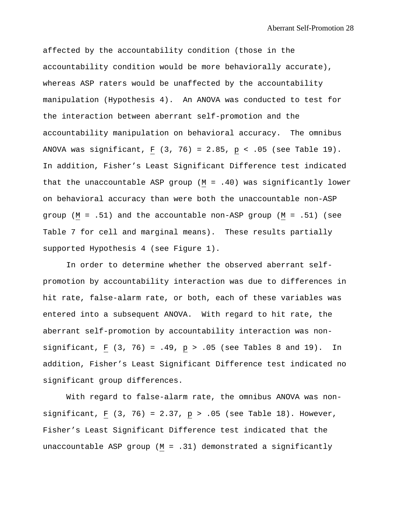affected by the accountability condition (those in the accountability condition would be more behaviorally accurate), whereas ASP raters would be unaffected by the accountability manipulation (Hypothesis 4). An ANOVA was conducted to test for the interaction between aberrant self-promotion and the accountability manipulation on behavioral accuracy. The omnibus ANOVA was significant, F  $(3, 76) = 2.85$ , p < .05 (see Table 19). In addition, Fisher's Least Significant Difference test indicated that the unaccountable ASP group  $(M = .40)$  was significantly lower on behavioral accuracy than were both the unaccountable non-ASP group (M = .51) and the accountable non-ASP group (M = .51) (see Table 7 for cell and marginal means). These results partially supported Hypothesis 4 (see Figure 1).

In order to determine whether the observed aberrant selfpromotion by accountability interaction was due to differences in hit rate, false-alarm rate, or both, each of these variables was entered into a subsequent ANOVA. With regard to hit rate, the aberrant self-promotion by accountability interaction was nonsignificant, F  $(3, 76) = .49$ ,  $p > .05$  (see Tables 8 and 19). In addition, Fisher's Least Significant Difference test indicated no significant group differences.

With regard to false-alarm rate, the omnibus ANOVA was nonsignificant, F  $(3, 76) = 2.37$ , p > .05 (see Table 18). However, Fisher's Least Significant Difference test indicated that the unaccountable ASP group  $(M = .31)$  demonstrated a significantly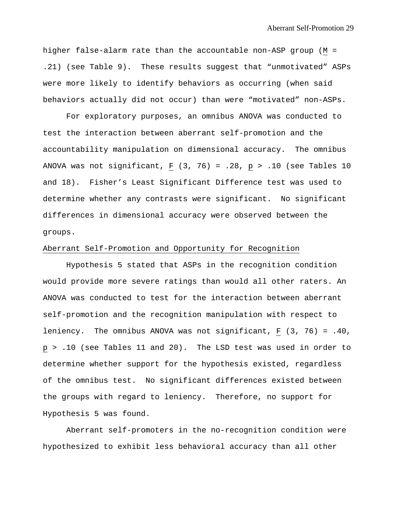higher false-alarm rate than the accountable non-ASP group (M = .21) (see Table 9). These results suggest that "unmotivated" ASPs were more likely to identify behaviors as occurring (when said behaviors actually did not occur) than were "motivated" non-ASPs.

For exploratory purposes, an omnibus ANOVA was conducted to test the interaction between aberrant self-promotion and the accountability manipulation on dimensional accuracy. The omnibus ANOVA was not significant, F  $(3, 76) = .28$ , p > .10 (see Tables 10 and 18). Fisher's Least Significant Difference test was used to determine whether any contrasts were significant. No significant differences in dimensional accuracy were observed between the groups.

## Aberrant Self-Promotion and Opportunity for Recognition

Hypothesis 5 stated that ASPs in the recognition condition would provide more severe ratings than would all other raters. An ANOVA was conducted to test for the interaction between aberrant self-promotion and the recognition manipulation with respect to leniency. The omnibus ANOVA was not significant, F (3, 76) = .40, p > .10 (see Tables 11 and 20). The LSD test was used in order to determine whether support for the hypothesis existed, regardless of the omnibus test. No significant differences existed between the groups with regard to leniency. Therefore, no support for Hypothesis 5 was found.

Aberrant self-promoters in the no-recognition condition were hypothesized to exhibit less behavioral accuracy than all other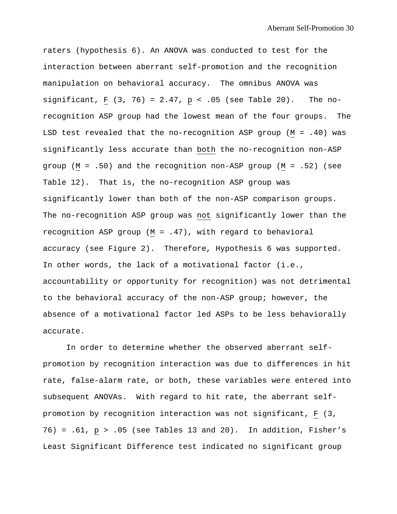raters (hypothesis 6). An ANOVA was conducted to test for the interaction between aberrant self-promotion and the recognition manipulation on behavioral accuracy. The omnibus ANOVA was significant, F  $(3, 76) = 2.47$ , p < .05 (see Table 20). The norecognition ASP group had the lowest mean of the four groups. The LSD test revealed that the no-recognition ASP group (M = .40) was significantly less accurate than both the no-recognition non-ASP group (M = .50) and the recognition non-ASP group (M = .52) (see Table 12). That is, the no-recognition ASP group was significantly lower than both of the non-ASP comparison groups. The no-recognition ASP group was not significantly lower than the recognition ASP group (M = .47), with regard to behavioral accuracy (see Figure 2). Therefore, Hypothesis 6 was supported. In other words, the lack of a motivational factor (i.e., accountability or opportunity for recognition) was not detrimental to the behavioral accuracy of the non-ASP group; however, the absence of a motivational factor led ASPs to be less behaviorally accurate.

In order to determine whether the observed aberrant selfpromotion by recognition interaction was due to differences in hit rate, false-alarm rate, or both, these variables were entered into subsequent ANOVAs. With regard to hit rate, the aberrant selfpromotion by recognition interaction was not significant, F (3,  $76$  = .61,  $p > .05$  (see Tables 13 and 20). In addition, Fisher's Least Significant Difference test indicated no significant group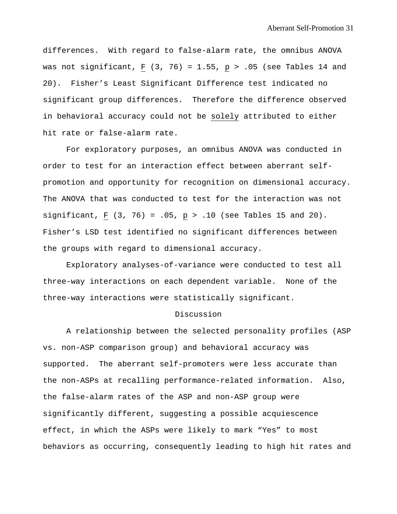differences. With regard to false-alarm rate, the omnibus ANOVA was not significant, F  $(3, 76) = 1.55$ , p > .05 (see Tables 14 and 20). Fisher's Least Significant Difference test indicated no significant group differences. Therefore the difference observed in behavioral accuracy could not be solely attributed to either hit rate or false-alarm rate.

For exploratory purposes, an omnibus ANOVA was conducted in order to test for an interaction effect between aberrant selfpromotion and opportunity for recognition on dimensional accuracy. The ANOVA that was conducted to test for the interaction was not significant, F  $(3, 76) = .05$ ,  $p > .10$  (see Tables 15 and 20). Fisher's LSD test identified no significant differences between the groups with regard to dimensional accuracy.

Exploratory analyses-of-variance were conducted to test all three-way interactions on each dependent variable. None of the three-way interactions were statistically significant.

#### Discussion

A relationship between the selected personality profiles (ASP vs. non-ASP comparison group) and behavioral accuracy was supported. The aberrant self-promoters were less accurate than the non-ASPs at recalling performance-related information. Also, the false-alarm rates of the ASP and non-ASP group were significantly different, suggesting a possible acquiescence effect, in which the ASPs were likely to mark "Yes" to most behaviors as occurring, consequently leading to high hit rates and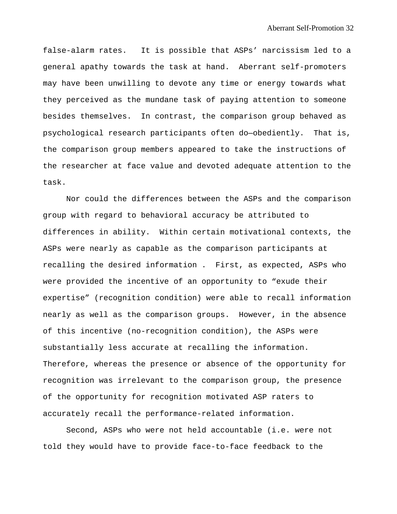false-alarm rates. It is possible that ASPs' narcissism led to a general apathy towards the task at hand. Aberrant self-promoters may have been unwilling to devote any time or energy towards what they perceived as the mundane task of paying attention to someone besides themselves. In contrast, the comparison group behaved as psychological research participants often do—obediently. That is, the comparison group members appeared to take the instructions of the researcher at face value and devoted adequate attention to the task.

Nor could the differences between the ASPs and the comparison group with regard to behavioral accuracy be attributed to differences in ability. Within certain motivational contexts, the ASPs were nearly as capable as the comparison participants at recalling the desired information . First, as expected, ASPs who were provided the incentive of an opportunity to "exude their expertise" (recognition condition) were able to recall information nearly as well as the comparison groups. However, in the absence of this incentive (no-recognition condition), the ASPs were substantially less accurate at recalling the information. Therefore, whereas the presence or absence of the opportunity for recognition was irrelevant to the comparison group, the presence of the opportunity for recognition motivated ASP raters to accurately recall the performance-related information.

Second, ASPs who were not held accountable (i.e. were not told they would have to provide face-to-face feedback to the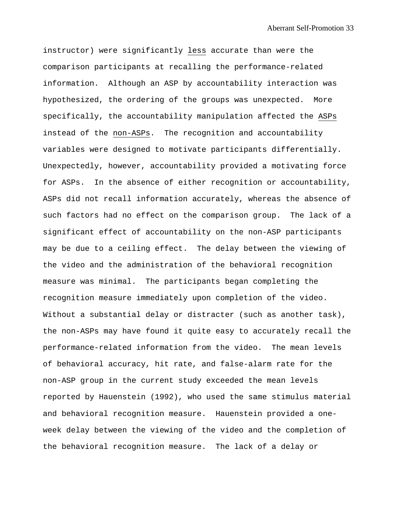instructor) were significantly less accurate than were the comparison participants at recalling the performance-related information. Although an ASP by accountability interaction was hypothesized, the ordering of the groups was unexpected. More specifically, the accountability manipulation affected the ASPs instead of the non-ASPs. The recognition and accountability variables were designed to motivate participants differentially. Unexpectedly, however, accountability provided a motivating force for ASPs. In the absence of either recognition or accountability, ASPs did not recall information accurately, whereas the absence of such factors had no effect on the comparison group. The lack of a significant effect of accountability on the non-ASP participants may be due to a ceiling effect. The delay between the viewing of the video and the administration of the behavioral recognition measure was minimal. The participants began completing the recognition measure immediately upon completion of the video. Without a substantial delay or distracter (such as another task), the non-ASPs may have found it quite easy to accurately recall the performance-related information from the video. The mean levels of behavioral accuracy, hit rate, and false-alarm rate for the non-ASP group in the current study exceeded the mean levels reported by Hauenstein (1992), who used the same stimulus material and behavioral recognition measure. Hauenstein provided a oneweek delay between the viewing of the video and the completion of the behavioral recognition measure. The lack of a delay or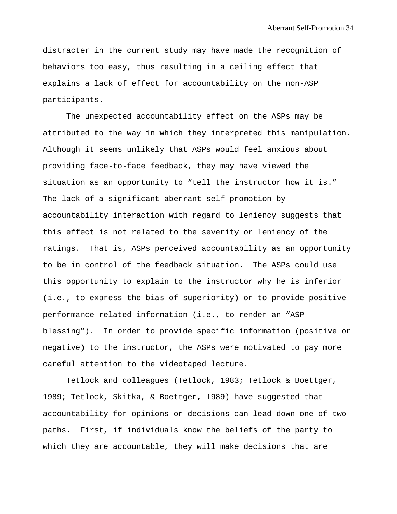distracter in the current study may have made the recognition of behaviors too easy, thus resulting in a ceiling effect that explains a lack of effect for accountability on the non-ASP participants.

The unexpected accountability effect on the ASPs may be attributed to the way in which they interpreted this manipulation. Although it seems unlikely that ASPs would feel anxious about providing face-to-face feedback, they may have viewed the situation as an opportunity to "tell the instructor how it is." The lack of a significant aberrant self-promotion by accountability interaction with regard to leniency suggests that this effect is not related to the severity or leniency of the ratings. That is, ASPs perceived accountability as an opportunity to be in control of the feedback situation. The ASPs could use this opportunity to explain to the instructor why he is inferior (i.e., to express the bias of superiority) or to provide positive performance-related information (i.e., to render an "ASP blessing"). In order to provide specific information (positive or negative) to the instructor, the ASPs were motivated to pay more careful attention to the videotaped lecture.

Tetlock and colleagues (Tetlock, 1983; Tetlock & Boettger, 1989; Tetlock, Skitka, & Boettger, 1989) have suggested that accountability for opinions or decisions can lead down one of two paths. First, if individuals know the beliefs of the party to which they are accountable, they will make decisions that are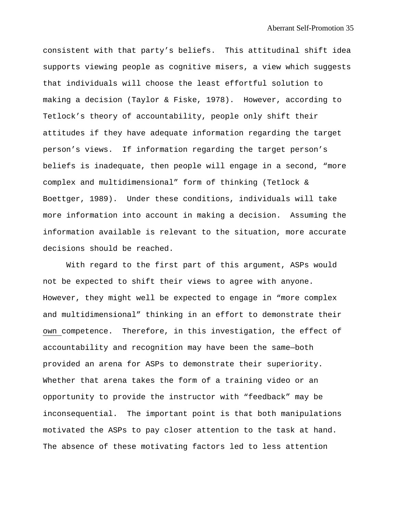consistent with that party's beliefs. This attitudinal shift idea supports viewing people as cognitive misers, a view which suggests that individuals will choose the least effortful solution to making a decision (Taylor & Fiske, 1978). However, according to Tetlock's theory of accountability, people only shift their attitudes if they have adequate information regarding the target person's views. If information regarding the target person's beliefs is inadequate, then people will engage in a second, "more complex and multidimensional" form of thinking (Tetlock & Boettger, 1989). Under these conditions, individuals will take more information into account in making a decision. Assuming the information available is relevant to the situation, more accurate decisions should be reached.

With regard to the first part of this argument, ASPs would not be expected to shift their views to agree with anyone. However, they might well be expected to engage in "more complex and multidimensional" thinking in an effort to demonstrate their own competence. Therefore, in this investigation, the effect of accountability and recognition may have been the same—both provided an arena for ASPs to demonstrate their superiority. Whether that arena takes the form of a training video or an opportunity to provide the instructor with "feedback" may be inconsequential. The important point is that both manipulations motivated the ASPs to pay closer attention to the task at hand. The absence of these motivating factors led to less attention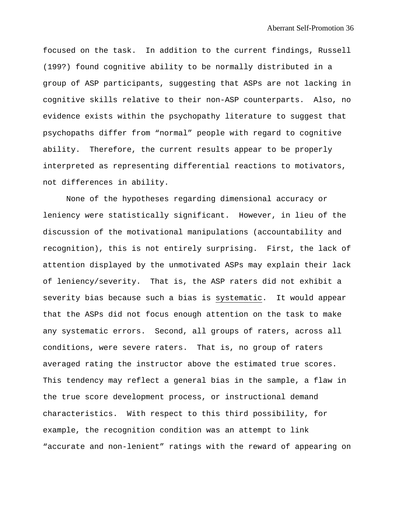focused on the task. In addition to the current findings, Russell (199?) found cognitive ability to be normally distributed in a group of ASP participants, suggesting that ASPs are not lacking in cognitive skills relative to their non-ASP counterparts. Also, no evidence exists within the psychopathy literature to suggest that psychopaths differ from "normal" people with regard to cognitive ability. Therefore, the current results appear to be properly interpreted as representing differential reactions to motivators, not differences in ability.

None of the hypotheses regarding dimensional accuracy or leniency were statistically significant. However, in lieu of the discussion of the motivational manipulations (accountability and recognition), this is not entirely surprising. First, the lack of attention displayed by the unmotivated ASPs may explain their lack of leniency/severity. That is, the ASP raters did not exhibit a severity bias because such a bias is systematic. It would appear that the ASPs did not focus enough attention on the task to make any systematic errors. Second, all groups of raters, across all conditions, were severe raters. That is, no group of raters averaged rating the instructor above the estimated true scores. This tendency may reflect a general bias in the sample, a flaw in the true score development process, or instructional demand characteristics. With respect to this third possibility, for example, the recognition condition was an attempt to link "accurate and non-lenient" ratings with the reward of appearing on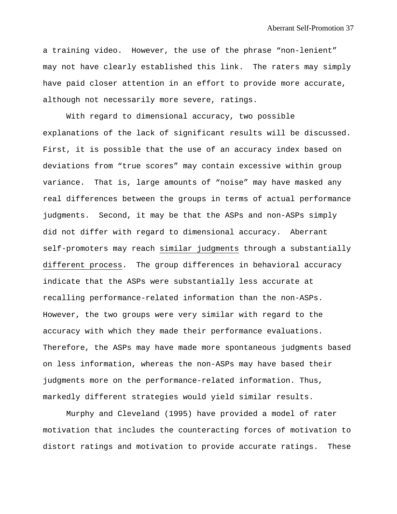a training video. However, the use of the phrase "non-lenient" may not have clearly established this link. The raters may simply have paid closer attention in an effort to provide more accurate, although not necessarily more severe, ratings.

With regard to dimensional accuracy, two possible explanations of the lack of significant results will be discussed. First, it is possible that the use of an accuracy index based on deviations from "true scores" may contain excessive within group variance. That is, large amounts of "noise" may have masked any real differences between the groups in terms of actual performance judgments. Second, it may be that the ASPs and non-ASPs simply did not differ with regard to dimensional accuracy. Aberrant self-promoters may reach similar judgments through a substantially different process. The group differences in behavioral accuracy indicate that the ASPs were substantially less accurate at recalling performance-related information than the non-ASPs. However, the two groups were very similar with regard to the accuracy with which they made their performance evaluations. Therefore, the ASPs may have made more spontaneous judgments based on less information, whereas the non-ASPs may have based their judgments more on the performance-related information. Thus, markedly different strategies would yield similar results.

Murphy and Cleveland (1995) have provided a model of rater motivation that includes the counteracting forces of motivation to distort ratings and motivation to provide accurate ratings. These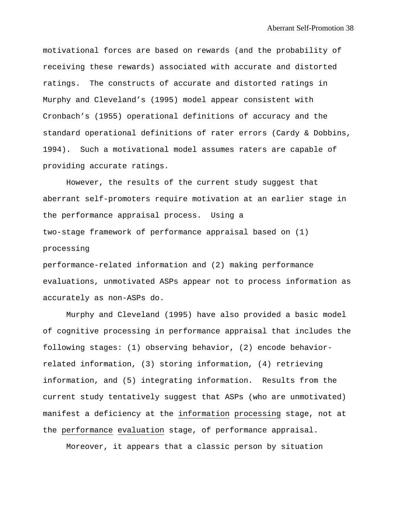motivational forces are based on rewards (and the probability of receiving these rewards) associated with accurate and distorted ratings. The constructs of accurate and distorted ratings in Murphy and Cleveland's (1995) model appear consistent with Cronbach's (1955) operational definitions of accuracy and the standard operational definitions of rater errors (Cardy & Dobbins, 1994). Such a motivational model assumes raters are capable of providing accurate ratings.

However, the results of the current study suggest that aberrant self-promoters require motivation at an earlier stage in the performance appraisal process. Using a two-stage framework of performance appraisal based on (1) processing

performance-related information and (2) making performance evaluations, unmotivated ASPs appear not to process information as accurately as non-ASPs do.

Murphy and Cleveland (1995) have also provided a basic model of cognitive processing in performance appraisal that includes the following stages: (1) observing behavior, (2) encode behaviorrelated information, (3) storing information, (4) retrieving information, and (5) integrating information. Results from the current study tentatively suggest that ASPs (who are unmotivated) manifest a deficiency at the information processing stage, not at the performance evaluation stage, of performance appraisal.

Moreover, it appears that a classic person by situation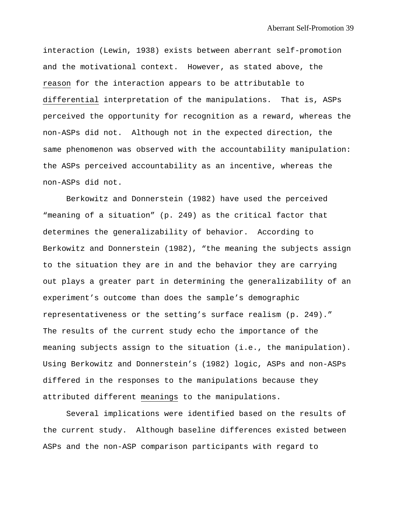interaction (Lewin, 1938) exists between aberrant self-promotion and the motivational context. However, as stated above, the reason for the interaction appears to be attributable to differential interpretation of the manipulations. That is, ASPs perceived the opportunity for recognition as a reward, whereas the non-ASPs did not. Although not in the expected direction, the same phenomenon was observed with the accountability manipulation: the ASPs perceived accountability as an incentive, whereas the non-ASPs did not.

Berkowitz and Donnerstein (1982) have used the perceived "meaning of a situation" (p. 249) as the critical factor that determines the generalizability of behavior. According to Berkowitz and Donnerstein (1982), "the meaning the subjects assign to the situation they are in and the behavior they are carrying out plays a greater part in determining the generalizability of an experiment's outcome than does the sample's demographic representativeness or the setting's surface realism (p. 249)." The results of the current study echo the importance of the meaning subjects assign to the situation (i.e., the manipulation). Using Berkowitz and Donnerstein's (1982) logic, ASPs and non-ASPs differed in the responses to the manipulations because they attributed different meanings to the manipulations.

Several implications were identified based on the results of the current study. Although baseline differences existed between ASPs and the non-ASP comparison participants with regard to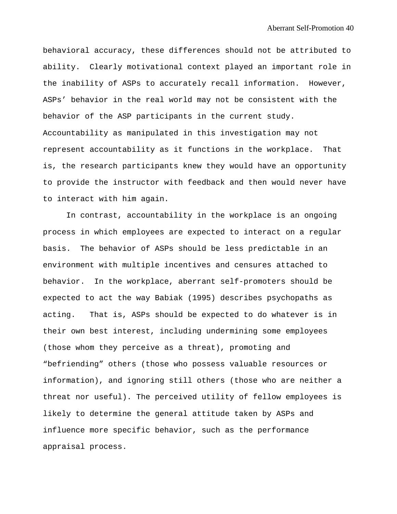behavioral accuracy, these differences should not be attributed to ability. Clearly motivational context played an important role in the inability of ASPs to accurately recall information. However, ASPs' behavior in the real world may not be consistent with the behavior of the ASP participants in the current study. Accountability as manipulated in this investigation may not represent accountability as it functions in the workplace. That is, the research participants knew they would have an opportunity to provide the instructor with feedback and then would never have to interact with him again.

In contrast, accountability in the workplace is an ongoing process in which employees are expected to interact on a regular basis. The behavior of ASPs should be less predictable in an environment with multiple incentives and censures attached to behavior. In the workplace, aberrant self-promoters should be expected to act the way Babiak (1995) describes psychopaths as acting. That is, ASPs should be expected to do whatever is in their own best interest, including undermining some employees (those whom they perceive as a threat), promoting and "befriending" others (those who possess valuable resources or information), and ignoring still others (those who are neither a threat nor useful). The perceived utility of fellow employees is likely to determine the general attitude taken by ASPs and influence more specific behavior, such as the performance appraisal process.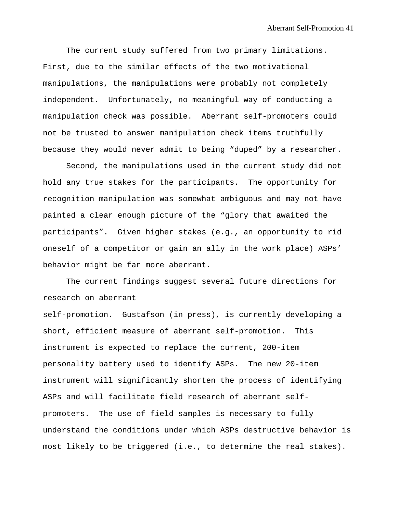The current study suffered from two primary limitations. First, due to the similar effects of the two motivational manipulations, the manipulations were probably not completely independent. Unfortunately, no meaningful way of conducting a manipulation check was possible. Aberrant self-promoters could not be trusted to answer manipulation check items truthfully because they would never admit to being "duped" by a researcher.

Second, the manipulations used in the current study did not hold any true stakes for the participants. The opportunity for recognition manipulation was somewhat ambiguous and may not have painted a clear enough picture of the "glory that awaited the participants". Given higher stakes (e.g., an opportunity to rid oneself of a competitor or gain an ally in the work place) ASPs' behavior might be far more aberrant.

The current findings suggest several future directions for research on aberrant

self-promotion. Gustafson (in press), is currently developing a short, efficient measure of aberrant self-promotion. This instrument is expected to replace the current, 200-item personality battery used to identify ASPs. The new 20-item instrument will significantly shorten the process of identifying ASPs and will facilitate field research of aberrant selfpromoters. The use of field samples is necessary to fully understand the conditions under which ASPs destructive behavior is most likely to be triggered (i.e., to determine the real stakes).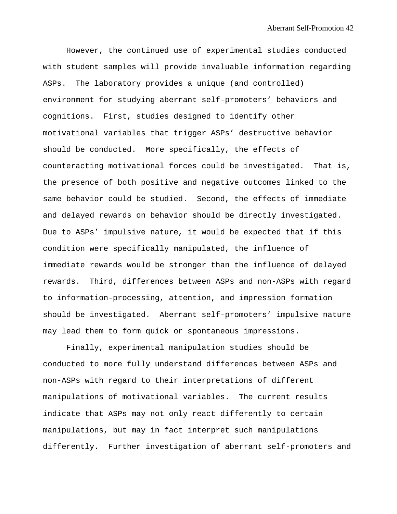However, the continued use of experimental studies conducted with student samples will provide invaluable information regarding ASPs. The laboratory provides a unique (and controlled) environment for studying aberrant self-promoters' behaviors and cognitions. First, studies designed to identify other motivational variables that trigger ASPs' destructive behavior should be conducted. More specifically, the effects of counteracting motivational forces could be investigated. That is, the presence of both positive and negative outcomes linked to the same behavior could be studied. Second, the effects of immediate and delayed rewards on behavior should be directly investigated. Due to ASPs' impulsive nature, it would be expected that if this condition were specifically manipulated, the influence of immediate rewards would be stronger than the influence of delayed rewards. Third, differences between ASPs and non-ASPs with regard to information-processing, attention, and impression formation should be investigated. Aberrant self-promoters' impulsive nature may lead them to form quick or spontaneous impressions.

Finally, experimental manipulation studies should be conducted to more fully understand differences between ASPs and non-ASPs with regard to their interpretations of different manipulations of motivational variables. The current results indicate that ASPs may not only react differently to certain manipulations, but may in fact interpret such manipulations differently. Further investigation of aberrant self-promoters and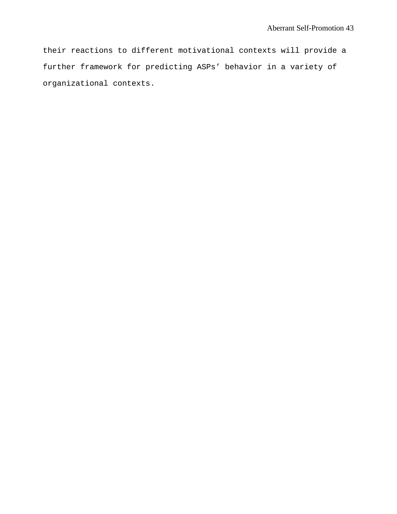their reactions to different motivational contexts will provide a further framework for predicting ASPs' behavior in a variety of organizational contexts.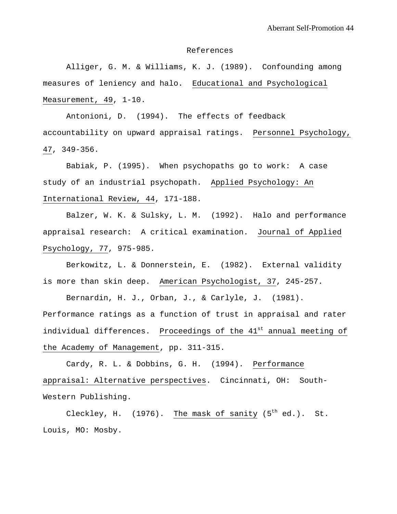#### References

Alliger, G. M. & Williams, K. J. (1989). Confounding among measures of leniency and halo. Educational and Psychological Measurement, 49, 1-10.

Antonioni, D. (1994). The effects of feedback accountability on upward appraisal ratings. Personnel Psychology, 47, 349-356.

Babiak, P. (1995). When psychopaths go to work: A case study of an industrial psychopath. Applied Psychology: An International Review, 44, 171-188.

Balzer, W. K. & Sulsky, L. M. (1992). Halo and performance appraisal research: A critical examination. Journal of Applied Psychology, 77, 975-985.

Berkowitz, L. & Donnerstein, E. (1982). External validity is more than skin deep. American Psychologist, 37, 245-257.

Bernardin, H. J., Orban, J., & Carlyle, J. (1981). Performance ratings as a function of trust in appraisal and rater individual differences. Proceedings of the 41<sup>st</sup> annual meeting of the Academy of Management, pp. 311-315.

Cardy, R. L. & Dobbins, G. H. (1994). Performance appraisal: Alternative perspectives. Cincinnati, OH: South-Western Publishing.

Cleckley, H.  $(1976)$ . The mask of sanity  $(5<sup>th</sup> ed.)$ . St. Louis, MO: Mosby.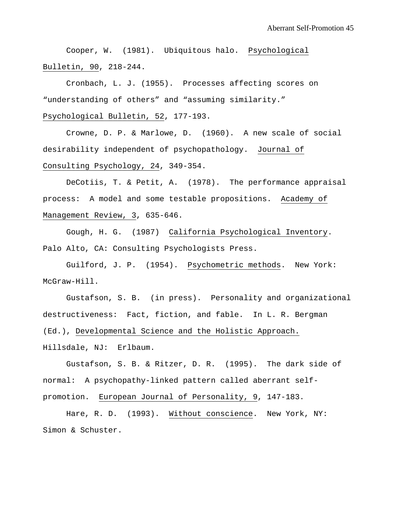Cooper, W. (1981). Ubiquitous halo. Psychological Bulletin, 90, 218-244.

Cronbach, L. J. (1955). Processes affecting scores on "understanding of others" and "assuming similarity."

Psychological Bulletin, 52, 177-193.

Crowne, D. P. & Marlowe, D. (1960). A new scale of social desirability independent of psychopathology. Journal of Consulting Psychology, 24, 349-354.

DeCotiis, T. & Petit, A. (1978). The performance appraisal process: A model and some testable propositions. Academy of Management Review, 3, 635-646.

Gough, H. G. (1987) California Psychological Inventory. Palo Alto, CA: Consulting Psychologists Press.

Guilford, J. P. (1954). Psychometric methods. New York: McGraw-Hill.

Gustafson, S. B. (in press). Personality and organizational destructiveness: Fact, fiction, and fable. In L. R. Bergman (Ed.), Developmental Science and the Holistic Approach. Hillsdale, NJ: Erlbaum.

Gustafson, S. B. & Ritzer, D. R. (1995). The dark side of normal: A psychopathy-linked pattern called aberrant selfpromotion. European Journal of Personality, 9, 147-183.

Hare, R. D. (1993). Without conscience. New York, NY: Simon & Schuster.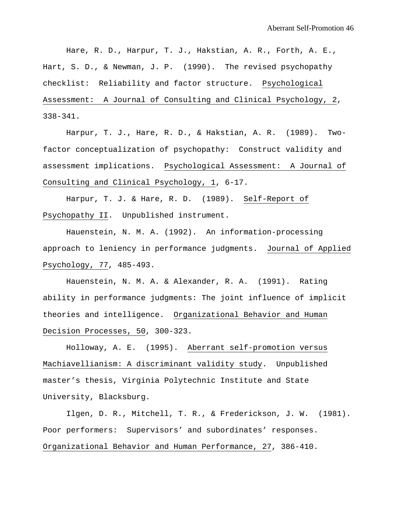Hare, R. D., Harpur, T. J., Hakstian, A. R., Forth, A. E., Hart, S. D., & Newman, J. P. (1990). The revised psychopathy checklist: Reliability and factor structure. Psychological Assessment: A Journal of Consulting and Clinical Psychology, 2, 338-341.

Harpur, T. J., Hare, R. D., & Hakstian, A. R. (1989). Twofactor conceptualization of psychopathy: Construct validity and assessment implications. Psychological Assessment: A Journal of Consulting and Clinical Psychology, 1, 6-17.

Harpur, T. J. & Hare, R. D. (1989). Self-Report of Psychopathy II. Unpublished instrument.

Hauenstein, N. M. A. (1992). An information-processing approach to leniency in performance judgments. Journal of Applied Psychology, 77, 485-493.

Hauenstein, N. M. A. & Alexander, R. A. (1991). Rating ability in performance judgments: The joint influence of implicit theories and intelligence. Organizational Behavior and Human Decision Processes, 50, 300-323.

Holloway, A. E. (1995). Aberrant self-promotion versus Machiavellianism: A discriminant validity study. Unpublished master's thesis, Virginia Polytechnic Institute and State University, Blacksburg.

Ilgen, D. R., Mitchell, T. R., & Frederickson, J. W. (1981). Poor performers: Supervisors' and subordinates' responses. Organizational Behavior and Human Performance, 27, 386-410.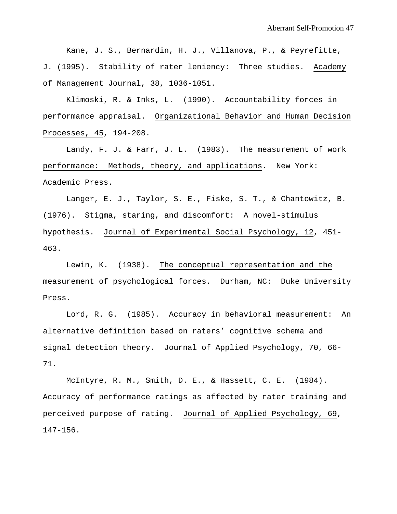Kane, J. S., Bernardin, H. J., Villanova, P., & Peyrefitte, J. (1995). Stability of rater leniency: Three studies. Academy of Management Journal, 38, 1036-1051.

Klimoski, R. & Inks, L. (1990). Accountability forces in performance appraisal. Organizational Behavior and Human Decision Processes, 45, 194-208.

Landy, F. J. & Farr, J. L. (1983). The measurement of work performance: Methods, theory, and applications. New York: Academic Press.

Langer, E. J., Taylor, S. E., Fiske, S. T., & Chantowitz, B. (1976). Stigma, staring, and discomfort: A novel-stimulus hypothesis. Journal of Experimental Social Psychology, 12, 451- 463.

Lewin, K. (1938). The conceptual representation and the measurement of psychological forces. Durham, NC: Duke University Press.

Lord, R. G. (1985). Accuracy in behavioral measurement: An alternative definition based on raters' cognitive schema and signal detection theory. Journal of Applied Psychology, 70, 66- 71.

McIntyre, R. M., Smith, D. E., & Hassett, C. E. (1984). Accuracy of performance ratings as affected by rater training and perceived purpose of rating. Journal of Applied Psychology, 69, 147-156.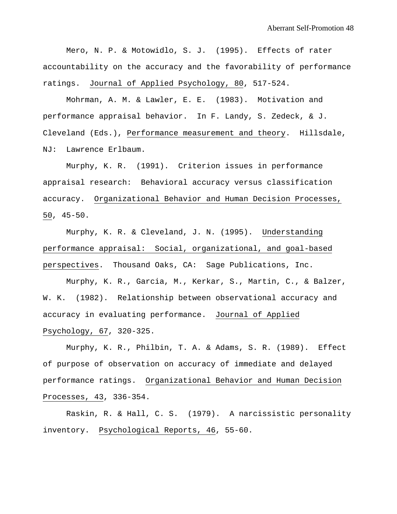Mero, N. P. & Motowidlo, S. J. (1995). Effects of rater accountability on the accuracy and the favorability of performance ratings. Journal of Applied Psychology, 80, 517-524.

Mohrman, A. M. & Lawler, E. E. (1983). Motivation and performance appraisal behavior. In F. Landy, S. Zedeck, & J. Cleveland (Eds.), Performance measurement and theory. Hillsdale, NJ: Lawrence Erlbaum.

Murphy, K. R. (1991). Criterion issues in performance appraisal research: Behavioral accuracy versus classification accuracy. Organizational Behavior and Human Decision Processes, 50, 45-50.

Murphy, K. R. & Cleveland, J. N. (1995). Understanding performance appraisal: Social, organizational, and goal-based perspectives. Thousand Oaks, CA: Sage Publications, Inc.

Murphy, K. R., Garcia, M., Kerkar, S., Martin, C., & Balzer, W. K. (1982). Relationship between observational accuracy and accuracy in evaluating performance. Journal of Applied Psychology, 67, 320-325.

Murphy, K. R., Philbin, T. A. & Adams, S. R. (1989). Effect of purpose of observation on accuracy of immediate and delayed performance ratings. Organizational Behavior and Human Decision Processes, 43, 336-354.

Raskin, R. & Hall, C. S. (1979). A narcissistic personality inventory. Psychological Reports, 46, 55-60.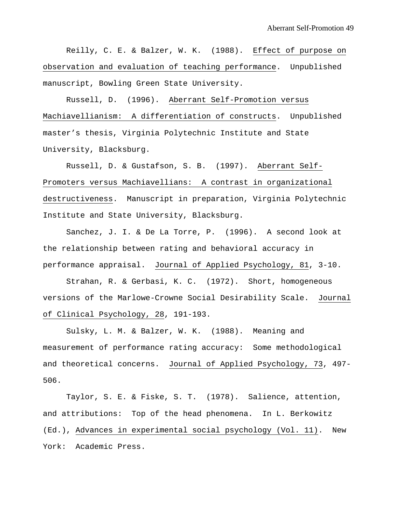Reilly, C. E. & Balzer, W. K. (1988). Effect of purpose on observation and evaluation of teaching performance. Unpublished manuscript, Bowling Green State University.

Russell, D. (1996). Aberrant Self-Promotion versus Machiavellianism: A differentiation of constructs. Unpublished master's thesis, Virginia Polytechnic Institute and State University, Blacksburg.

Russell, D. & Gustafson, S. B. (1997). Aberrant Self-Promoters versus Machiavellians: A contrast in organizational destructiveness. Manuscript in preparation, Virginia Polytechnic Institute and State University, Blacksburg.

Sanchez, J. I. & De La Torre, P. (1996). A second look at the relationship between rating and behavioral accuracy in performance appraisal. Journal of Applied Psychology, 81, 3-10.

Strahan, R. & Gerbasi, K. C. (1972). Short, homogeneous versions of the Marlowe-Crowne Social Desirability Scale. Journal of Clinical Psychology, 28, 191-193.

Sulsky, L. M. & Balzer, W. K. (1988). Meaning and measurement of performance rating accuracy: Some methodological and theoretical concerns. Journal of Applied Psychology, 73, 497- 506.

Taylor, S. E. & Fiske, S. T. (1978). Salience, attention, and attributions: Top of the head phenomena. In L. Berkowitz (Ed.), Advances in experimental social psychology (Vol. 11). New York: Academic Press.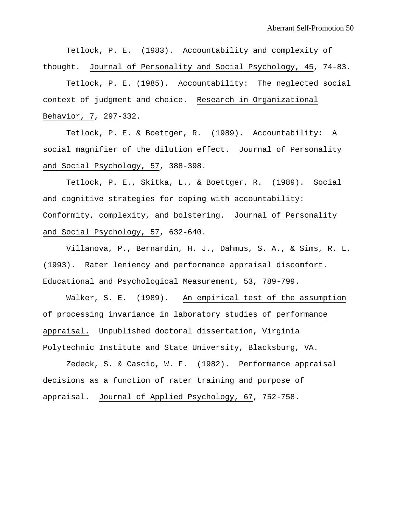Tetlock, P. E. (1983). Accountability and complexity of thought. Journal of Personality and Social Psychology, 45, 74-83.

Tetlock, P. E. (1985). Accountability: The neglected social context of judgment and choice. Research in Organizational Behavior, 7, 297-332.

Tetlock, P. E. & Boettger, R. (1989). Accountability: A social magnifier of the dilution effect. Journal of Personality and Social Psychology, 57, 388-398.

Tetlock, P. E., Skitka, L., & Boettger, R. (1989). Social and cognitive strategies for coping with accountability: Conformity, complexity, and bolstering. Journal of Personality and Social Psychology, 57, 632-640.

Villanova, P., Bernardin, H. J., Dahmus, S. A., & Sims, R. L. (1993). Rater leniency and performance appraisal discomfort. Educational and Psychological Measurement, 53, 789-799.

Walker, S. E. (1989). An empirical test of the assumption of processing invariance in laboratory studies of performance appraisal. Unpublished doctoral dissertation, Virginia Polytechnic Institute and State University, Blacksburg, VA.

Zedeck, S. & Cascio, W. F. (1982). Performance appraisal decisions as a function of rater training and purpose of appraisal. Journal of Applied Psychology, 67, 752-758.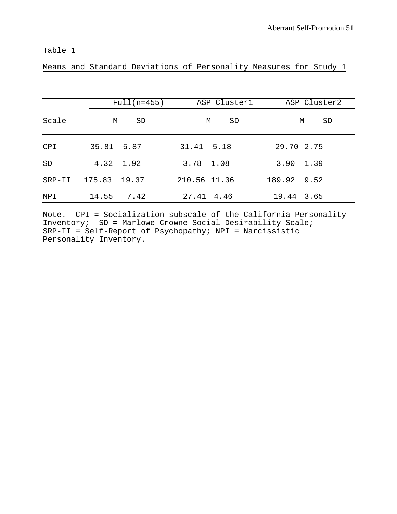Means and Standard Deviations of Personality Measures for Study 1

|          | $Full(n=455)$                | ASP Cluster1                                        | ASP Cluster2                                        |
|----------|------------------------------|-----------------------------------------------------|-----------------------------------------------------|
| Scale    | $\underline{\text{SD}}$<br>М | $\underline{\mathsf{M}}$<br>$\underline{\text{SD}}$ | $\underline{\mathsf{M}}$<br>$\underline{\text{SD}}$ |
| CPI      | 35.81 5.87                   | 31.41 5.18                                          | 29.70 2.75                                          |
| SD       | 4.32 1.92                    | 3.78 1.08                                           | $3.90 \quad 1.39$                                   |
| $SRP-II$ | 175.83 19.37                 | 210.56 11.36                                        | 189.92 9.52                                         |
| NPI      | 7.42<br>14.55                | 27.41 4.46                                          | 19.44 3.65                                          |

Note. CPI = Socialization subscale of the California Personality Inventory; SD = Marlowe-Crowne Social Desirability Scale; SRP-II = Self-Report of Psychopathy; NPI = Narcissistic Personality Inventory.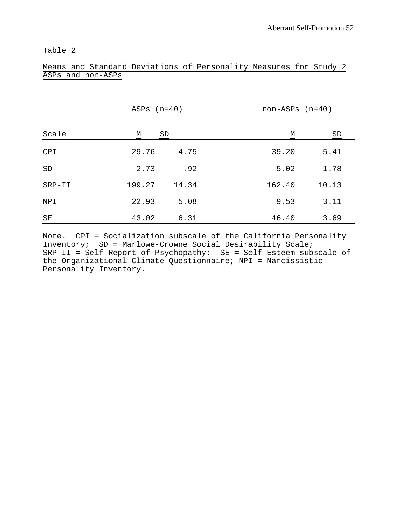|            | ASPs $(n=40)$ |       | $non-ASPs$ $(n=40)$ |       |
|------------|---------------|-------|---------------------|-------|
| Scale      | М<br>SD       |       | М                   | SD    |
| <b>CPI</b> | 29.76         | 4.75  | 39.20               | 5.41  |
| SD         | 2.73          | .92   | 5.02                | 1.78  |
| $SRP-II$   | 199.27        | 14.34 | 162.40              | 10.13 |
| NPI        | 22.93         | 5.08  | 9.53                | 3.11  |
| SE         | 43.02         | 6.31  | 46.40               | 3.69  |

### Means and Standard Deviations of Personality Measures for Study 2 ASPs and non-ASPs

Note. CPI = Socialization subscale of the California Personality Inventory; SD = Marlowe-Crowne Social Desirability Scale; SRP-II = Self-Report of Psychopathy; SE = Self-Esteem subscale of the Organizational Climate Questionnaire; NPI = Narcissistic Personality Inventory.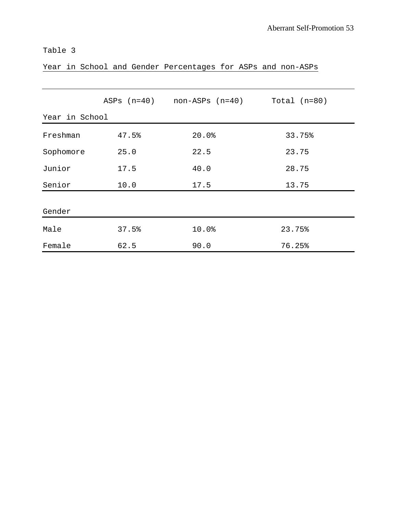|  |  |  |  |  | Year in School and Gender Percentages for ASPs and non-ASPs |  |  |  |  |
|--|--|--|--|--|-------------------------------------------------------------|--|--|--|--|
|--|--|--|--|--|-------------------------------------------------------------|--|--|--|--|

|                |       | $ASPs$ $(n=40)$ $non-ASPs$ $(n=40)$ $Total (n=80)$ |        |  |
|----------------|-------|----------------------------------------------------|--------|--|
| Year in School |       |                                                    |        |  |
| Freshman       | 47.5% | 20.0%                                              | 33.75% |  |
| Sophomore      | 25.0  | 22.5                                               | 23.75  |  |
| Junior         | 17.5  | 40.0                                               | 28.75  |  |
| Senior         | 10.0  | 17.5                                               | 13.75  |  |
| Gender         |       |                                                    |        |  |
| Male           | 37.5% | 10.0%                                              | 23.75% |  |
| Female         | 62.5  | 90.0                                               | 76.25% |  |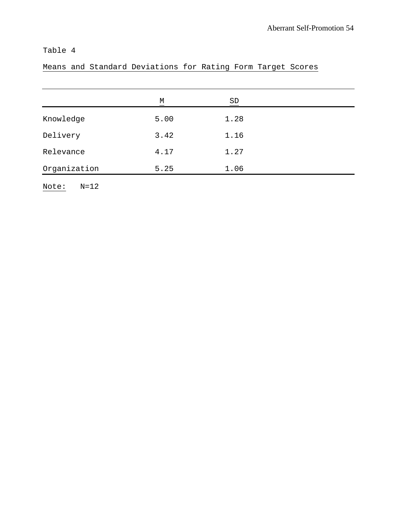# Means and Standard Deviations for Rating Form Target Scores

|              | M<br>— | SD   |  |
|--------------|--------|------|--|
| Knowledge    | 5.00   | 1.28 |  |
| Delivery     | 3.42   | 1.16 |  |
| Relevance    | 4.17   | 1.27 |  |
| Organization | 5.25   | 1.06 |  |

Note: N=12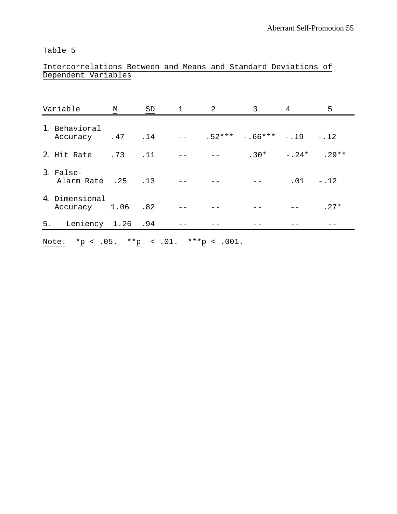### Intercorrelations Between and Means and Standard Deviations of Dependent Variables

| Variable                            | М | SD | $1 \quad 2$ | $\mathsf{3}$                             | 4 | 5           |
|-------------------------------------|---|----|-------------|------------------------------------------|---|-------------|
| 1. Behavioral<br>Accuracy .47 .14   |   |    |             | $-- \t .52*** \t -.66*** \t -.19\t -.12$ |   |             |
| 2. Hit Rate .73 .11                 |   |    |             | $.30* -.24*$ . 29**                      |   |             |
| 3. False-<br>Alarm Rate .25 .13     |   |    |             | $\sim$ $\sim$ $  -$                      |   | $.01 - .12$ |
| 4. Dimensional<br>Accuracy 1.06 .82 |   |    |             |                                          |   | $.27*$      |
| 5. Leniency 1.26 .94                |   |    |             |                                          |   |             |

Note.  $*_{\underline{p}}$  < .05.  $*_{\underline{p}}$  < .01.  $*_{\underline{p}}$  < .001.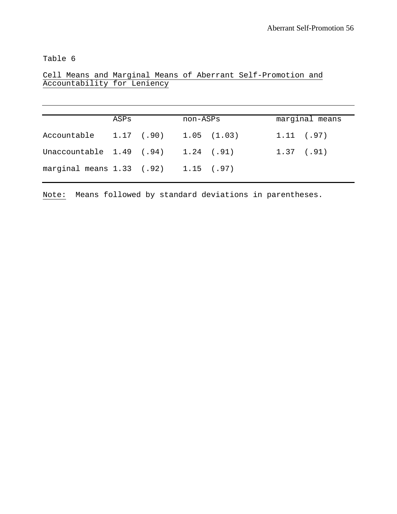Cell Means and Marginal Means of Aberrant Self-Promotion and Accountability for Leniency

|                                          | ASPs |                            | non-ASPs |              | marginal means |
|------------------------------------------|------|----------------------------|----------|--------------|----------------|
| Accountable                              |      | $1.17$ (.90) $1.05$ (1.03) |          | 1.11(.97)    |                |
| Unaccountable 1.49 (.94) 1.24 (.91)      |      |                            |          | $1.37$ (.91) |                |
| marginal means $1.33$ (.92) $1.15$ (.97) |      |                            |          |              |                |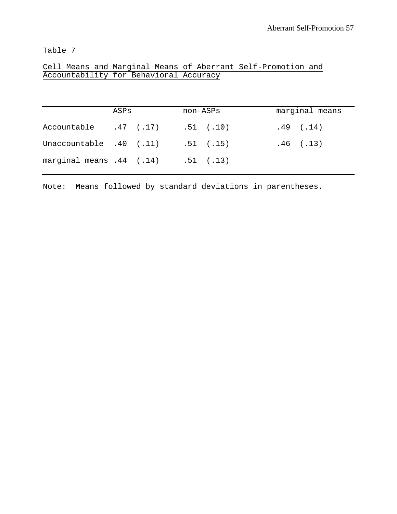|  |  |                                        |  | Cell Means and Marginal Means of Aberrant Self-Promotion and |  |
|--|--|----------------------------------------|--|--------------------------------------------------------------|--|
|  |  | Accountability for Behavioral Accuracy |  |                                                              |  |

|                          | ASPs |             | non-ASPs |               | marginal means |  |
|--------------------------|------|-------------|----------|---------------|----------------|--|
| Accountable              |      | $.47$ (.17) |          | $.51$ $(.10)$ | $.49$ $(.14)$  |  |
| Unaccountable .40 (.11)  |      |             |          | $.51$ $(.15)$ | $.46$ $(.13)$  |  |
| marginal means .44 (.14) |      |             |          | $.51$ $(.13)$ |                |  |
|                          |      |             |          |               |                |  |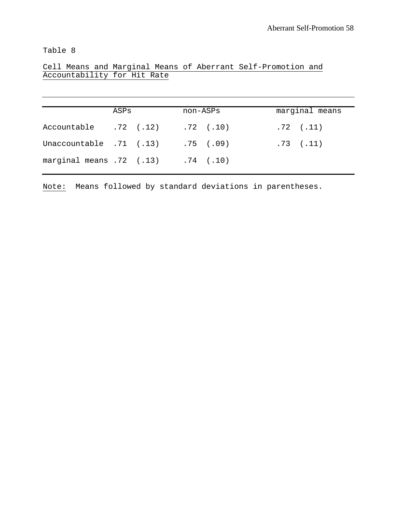Cell Means and Marginal Means of Aberrant Self-Promotion and Accountability for Hit Rate

| ASPs |  |                                                                              |                                                       | marginal means |                                |  |
|------|--|------------------------------------------------------------------------------|-------------------------------------------------------|----------------|--------------------------------|--|
|      |  |                                                                              |                                                       |                |                                |  |
|      |  |                                                                              |                                                       |                |                                |  |
|      |  |                                                                              |                                                       |                |                                |  |
|      |  | Accountable .72 (.12)<br>Unaccountable .71 (.13)<br>marginal means .72 (.13) | non-ASPs<br>$.72$ $(.10)$<br>.75(0.09)<br>$.74$ (.10) |                | $.72$ $(.11)$<br>$.73$ $(.11)$ |  |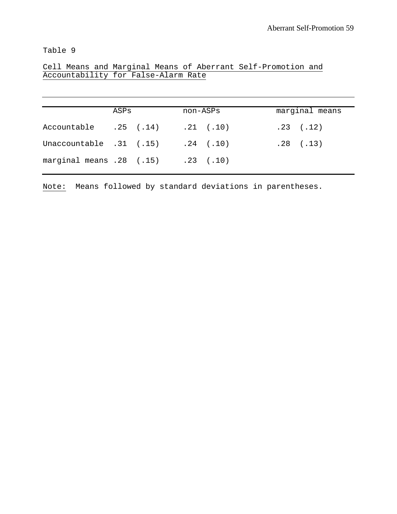Cell Means and Marginal Means of Aberrant Self-Promotion and Accountability for False-Alarm Rate

|                                            | ASPs |  | non-ASPs |               | marginal means |               |  |
|--------------------------------------------|------|--|----------|---------------|----------------|---------------|--|
| Accountable .25 (.14)                      |      |  |          | $.21$ $(.10)$ |                | $.23$ $(.12)$ |  |
| Unaccountable $.31$ $(.15)$ $.24$ $(.10)$  |      |  |          |               |                | $.28$ $(.13)$ |  |
| marginal means $.28$ $(.15)$ $.23$ $(.10)$ |      |  |          |               |                |               |  |
|                                            |      |  |          |               |                |               |  |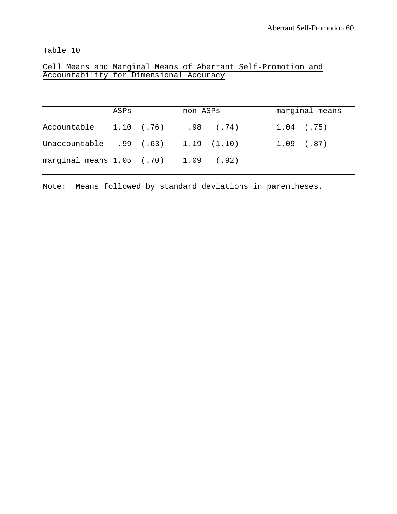Cell Means and Marginal Means of Aberrant Self-Promotion and Accountability for Dimensional Accuracy

| ASPs |  |                                                                                                                                 |                                                |
|------|--|---------------------------------------------------------------------------------------------------------------------------------|------------------------------------------------|
|      |  |                                                                                                                                 |                                                |
|      |  |                                                                                                                                 |                                                |
|      |  |                                                                                                                                 |                                                |
|      |  | non-ASPs<br>Accountable 1.10 (.76) .98 (.74)<br>Unaccountable .99 (.63) 1.19 (1.10)<br>marginal means $1.05$ (.70) $1.09$ (.92) | marginal means<br>$1.04$ (.75)<br>$1.09$ (.87) |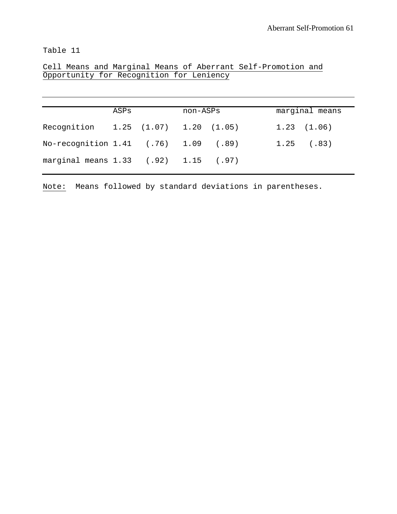Cell Means and Marginal Means of Aberrant Self-Promotion and Opportunity for Recognition for Leniency

|                                              | ASPs | non-ASPs |  | marginal means  |  |
|----------------------------------------------|------|----------|--|-----------------|--|
| Recognition 1.25 (1.07) 1.20 (1.05)          |      |          |  | $1.23$ $(1.06)$ |  |
| No-recognition 1.41 (.76) 1.09 (.89)         |      |          |  | $1.25$ (.83)    |  |
| marginal means $1.33$ $(.92)$ $1.15$ $(.97)$ |      |          |  |                 |  |
|                                              |      |          |  |                 |  |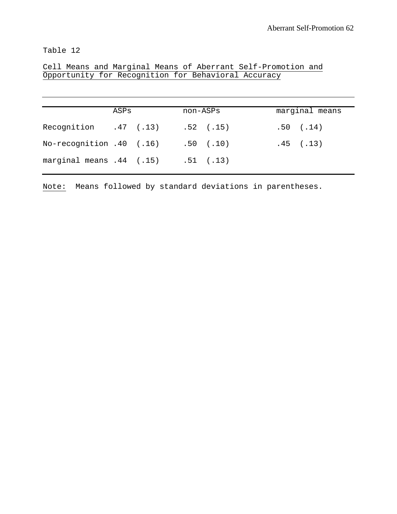Cell Means and Marginal Means of Aberrant Self-Promotion and Opportunity for Recognition for Behavioral Accuracy

|                          | ASPs | non-ASPs |               | marginal means |
|--------------------------|------|----------|---------------|----------------|
| Recognition .47 (.13)    |      |          | $.52$ $(.15)$ | $.50$ $(.14)$  |
| No-recognition .40 (.16) |      |          | $.50$ $(.10)$ | $.45$ $(.13)$  |
| marginal means .44 (.15) |      |          | $.51$ $(.13)$ |                |
|                          |      |          |               |                |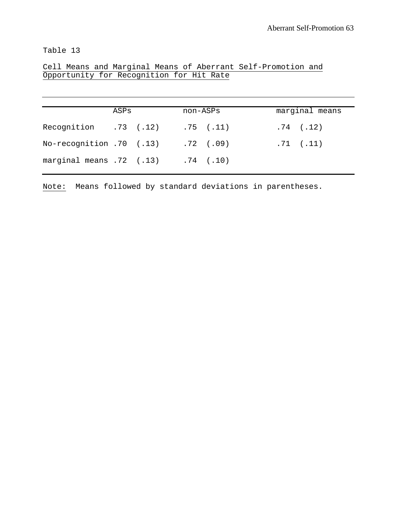Cell Means and Marginal Means of Aberrant Self-Promotion and Opportunity for Recognition for Hit Rate

|                          | ASPs | non-ASPs |               | marginal means |  |
|--------------------------|------|----------|---------------|----------------|--|
| Recognition .73 (.12)    |      |          | $.75$ $(.11)$ | $.74$ $(.12)$  |  |
| No-recognition .70 (.13) |      |          | $.72$ $(.09)$ | $.71$ $(.11)$  |  |
| marginal means .72 (.13) |      |          | $.74$ $(.10)$ |                |  |
|                          |      |          |               |                |  |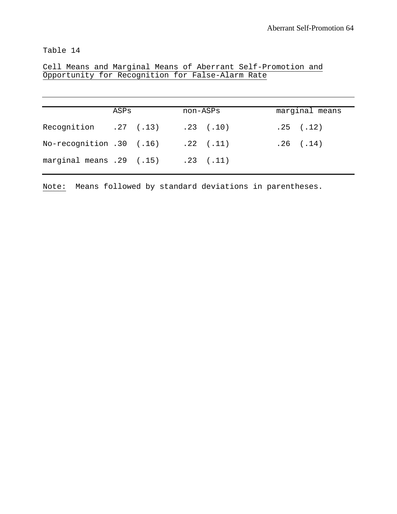Cell Means and Marginal Means of Aberrant Self-Promotion and Opportunity for Recognition for False-Alarm Rate

|                                            | ASPs | non-ASPs |  | marginal means |
|--------------------------------------------|------|----------|--|----------------|
| Recognition .27 (.13) .23 (.10)            |      |          |  | $.25$ $(.12)$  |
| No-recognition .30 (.16) .22 (.11)         |      |          |  | $.26$ $(.14)$  |
| marginal means $.29$ $(.15)$ $.23$ $(.11)$ |      |          |  |                |
|                                            |      |          |  |                |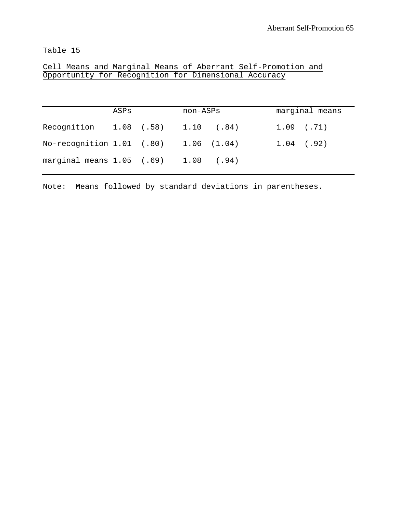Cell Means and Marginal Means of Aberrant Self-Promotion and Opportunity for Recognition for Dimensional Accuracy

| ASPs |  |                           |                                                                                                              | marginal means |
|------|--|---------------------------|--------------------------------------------------------------------------------------------------------------|----------------|
|      |  |                           | $1.09$ (.71)                                                                                                 |                |
|      |  |                           | $1.04$ (.92)                                                                                                 |                |
|      |  |                           |                                                                                                              |                |
|      |  | No-recognition 1.01 (.80) | non-ASPs<br>Recognition 1.08 (.58) 1.10 (.84)<br>$1.06$ $(1.04)$<br>marginal means $1.05$ (.69) $1.08$ (.94) |                |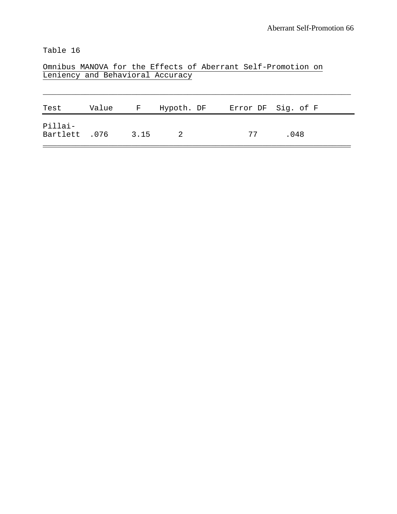Omnibus MANOVA for the Effects of Aberrant Self-Promotion on Leniency and Behavioral Accuracy

| Test                     | Value | $\mathbf{F}$ | Hypoth. DF     |    | Error DF Sig. of F |
|--------------------------|-------|--------------|----------------|----|--------------------|
| Pillai-<br>Bartlett .076 |       | 3.15         | $\overline{2}$ | 77 | .048               |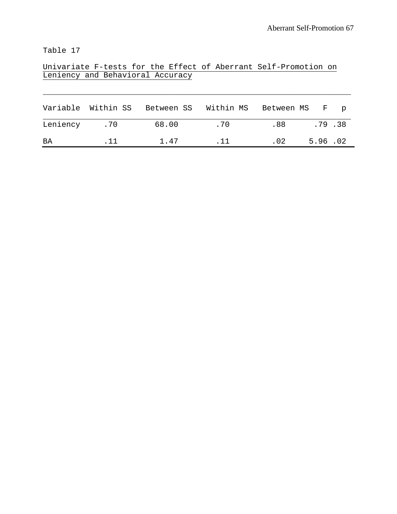Univariate F-tests for the Effect of Aberrant Self-Promotion on Leniency and Behavioral Accuracy

|              |     | Variable Within SS Between SS Within MS Between MS F p |     |     |         |  |
|--------------|-----|--------------------------------------------------------|-----|-----|---------|--|
| Leniency .70 |     | 68.00                                                  | .70 | .88 | .79.38  |  |
| ΒA           | .11 | 1.47                                                   | .11 | .02 | 5.96.02 |  |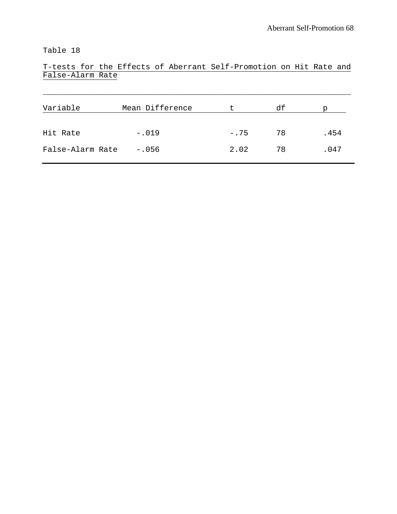T-tests for the Effects of Aberrant Self-Promotion on Hit Rate and False-Alarm Rate

| Variable         | Mean Difference | t       | df | р    |
|------------------|-----------------|---------|----|------|
| Hit Rate         | $-.019$         | $-0.75$ | 78 | .454 |
| False-Alarm Rate | $-.056$         | 2.02    | 78 | .047 |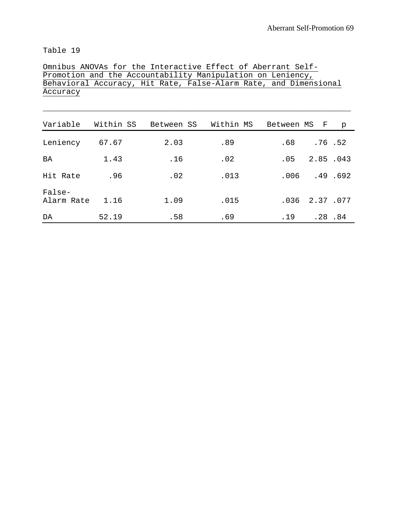|                               |       |      |      | Omnibus ANOVAs for the Interactive Effect of Aberrant Self-<br>Promotion and the Accountability Manipulation on Leniency, |                       |
|-------------------------------|-------|------|------|---------------------------------------------------------------------------------------------------------------------------|-----------------------|
|                               |       |      |      | Behavioral Accuracy, Hit Rate, False-Alarm Rate, and Dimensional                                                          |                       |
| Accuracy                      |       |      |      |                                                                                                                           |                       |
|                               |       |      |      |                                                                                                                           |                       |
| Variable Within SS Between SS |       |      |      | Within MS Between MS F                                                                                                    | p                     |
| Leniency 67.67                |       | 2.03 | .89  |                                                                                                                           | $.68$ $.76$ $.52$     |
| BA                            | 1.43  | .16  | .02  |                                                                                                                           | $.05 \t 2.85 \t .043$ |
| Hit Rate                      | .96   | .02  | .013 |                                                                                                                           | $.006$ $.49$ $.692$   |
| False-<br>Alarm Rate 1.16     |       | 1.09 | .015 |                                                                                                                           | $.036$ $2.37$ $.077$  |
| DA                            | 52.19 | .58  | .69  |                                                                                                                           | $.19$ $.28$ $.84$     |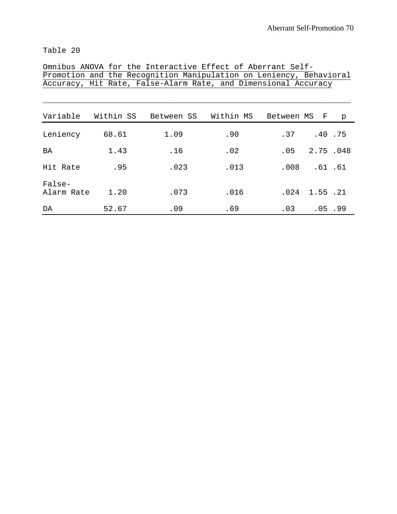|            |           | Promotion and the Recognition Manipulation on Leniency, Behavioral |           |              |                             |   |
|------------|-----------|--------------------------------------------------------------------|-----------|--------------|-----------------------------|---|
|            |           | Accuracy, Hit Rate, False-Alarm Rate, and Dimensional Accuracy     |           |              |                             |   |
|            |           |                                                                    |           |              |                             |   |
|            |           |                                                                    |           |              |                             |   |
| Variable   | Within SS | Between SS                                                         | Within MS | Between MS F |                             | p |
|            |           |                                                                    |           |              |                             |   |
| Leniency   | 68.61     | 1.09                                                               | .90       | .37          | .40.75                      |   |
|            |           |                                                                    |           |              |                             |   |
| BA         | 1.43      | .16                                                                | .02       |              | $.05 \quad 2.75 \quad .048$ |   |
| Hit Rate   | .95       | .023                                                               | .013      |              | $.008$ $.61$ $.61$          |   |
|            |           |                                                                    |           |              |                             |   |
| False-     |           |                                                                    |           |              |                             |   |
| Alarm Rate | 1.20      | .073                                                               | .016      | .024         | 1.55.21                     |   |
|            |           |                                                                    |           |              |                             |   |
| DA         | 52.67     | .09                                                                | .69       |              | $.03$ $.05$ $.99$           |   |

Omnibus ANOVA for the Interactive Effect of Aberrant Self-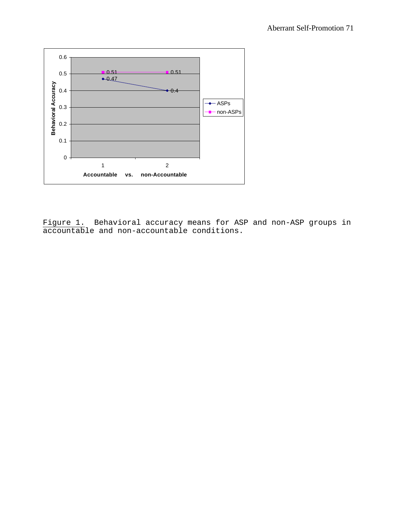

Figure 1. Behavioral accuracy means for ASP and non-ASP groups in accountable and non-accountable conditions.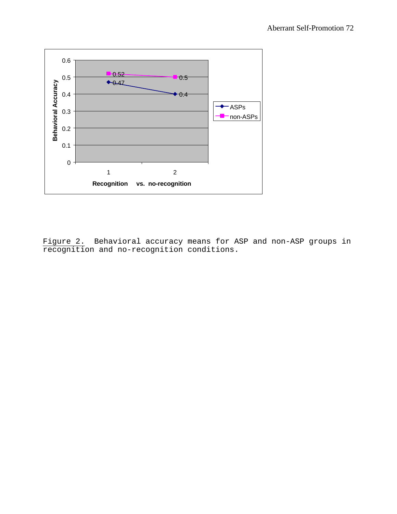

Figure 2. Behavioral accuracy means for ASP and non-ASP groups in recognition and no-recognition conditions.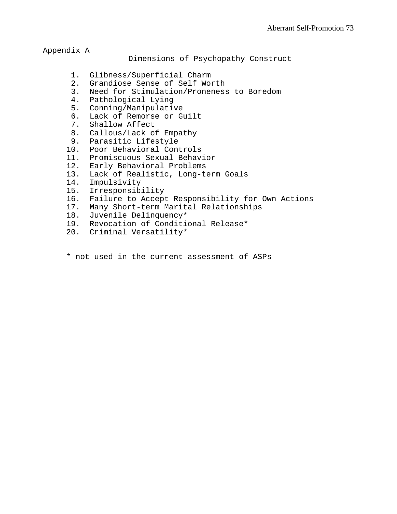Appendix A

Dimensions of Psychopathy Construct

- 1. Glibness/Superficial Charm
- 2. Grandiose Sense of Self Worth
- 3. Need for Stimulation/Proneness to Boredom
- 4. Pathological Lying
- 5. Conning/Manipulative
- 6. Lack of Remorse or Guilt
- 7. Shallow Affect
- 8. Callous/Lack of Empathy
- 9. Parasitic Lifestyle
- 10. Poor Behavioral Controls
- 11. Promiscuous Sexual Behavior
- 12. Early Behavioral Problems
- 13. Lack of Realistic, Long-term Goals
- 14. Impulsivity
- 15. Irresponsibility
- 16. Failure to Accept Responsibility for Own Actions
- 17. Many Short-term Marital Relationships
- 18. Juvenile Delinquency\*
- 19. Revocation of Conditional Release\*
- 20. Criminal Versatility\*
- \* not used in the current assessment of ASPs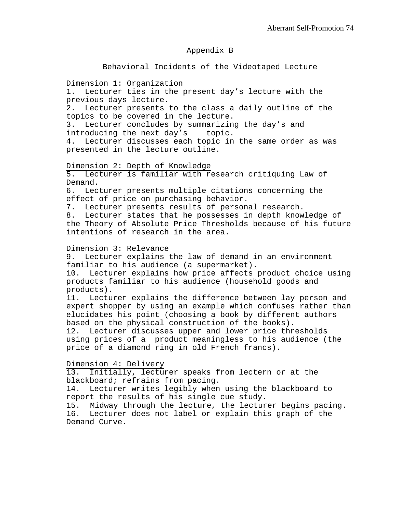# Appendix B

#### Behavioral Incidents of the Videotaped Lecture

#### Dimension 1: Organization

1. Lecturer ties in the present day's lecture with the previous days lecture.

2. Lecturer presents to the class a daily outline of the topics to be covered in the lecture.

3. Lecturer concludes by summarizing the day's and introducing the next day's topic.

4. Lecturer discusses each topic in the same order as was presented in the lecture outline.

#### Dimension 2: Depth of Knowledge

5. Lecturer is familiar with research critiquing Law of Demand.

6. Lecturer presents multiple citations concerning the effect of price on purchasing behavior.

7. Lecturer presents results of personal research.

8. Lecturer states that he possesses in depth knowledge of the Theory of Absolute Price Thresholds because of his future intentions of research in the area.

#### Dimension 3: Relevance

9. Lecturer explains the law of demand in an environment familiar to his audience (a supermarket).

10. Lecturer explains how price affects product choice using products familiar to his audience (household goods and products).

11. Lecturer explains the difference between lay person and expert shopper by using an example which confuses rather than elucidates his point (choosing a book by different authors based on the physical construction of the books).

12. Lecturer discusses upper and lower price thresholds using prices of a product meaningless to his audience (the price of a diamond ring in old French francs).

#### Dimension 4: Delivery

13. Initially, lecturer speaks from lectern or at the blackboard; refrains from pacing.

14. Lecturer writes legibly when using the blackboard to report the results of his single cue study.

15. Midway through the lecture, the lecturer begins pacing. 16. Lecturer does not label or explain this graph of the Demand Curve.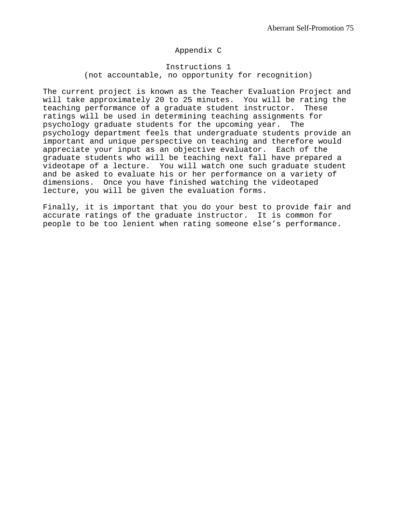# Appendix C

# Instructions 1 (not accountable, no opportunity for recognition)

The current project is known as the Teacher Evaluation Project and will take approximately 20 to 25 minutes. You will be rating the teaching performance of a graduate student instructor. These ratings will be used in determining teaching assignments for psychology graduate students for the upcoming year. The psychology department feels that undergraduate students provide an important and unique perspective on teaching and therefore would appreciate your input as an objective evaluator. Each of the graduate students who will be teaching next fall have prepared a videotape of a lecture. You will watch one such graduate student and be asked to evaluate his or her performance on a variety of dimensions. Once you have finished watching the videotaped lecture, you will be given the evaluation forms.

Finally, it is important that you do your best to provide fair and accurate ratings of the graduate instructor. It is common for people to be too lenient when rating someone else's performance.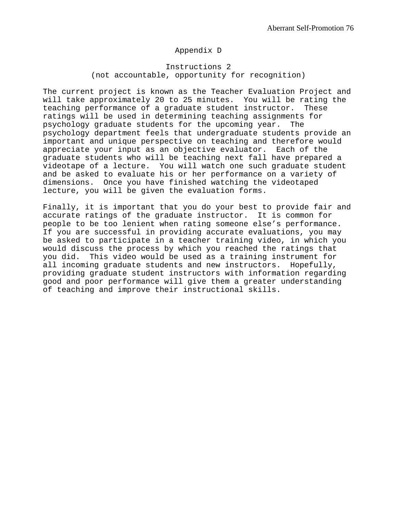# Appendix D

### Instructions 2 (not accountable, opportunity for recognition)

The current project is known as the Teacher Evaluation Project and will take approximately 20 to 25 minutes. You will be rating the teaching performance of a graduate student instructor. These ratings will be used in determining teaching assignments for psychology graduate students for the upcoming year. The psychology department feels that undergraduate students provide an important and unique perspective on teaching and therefore would appreciate your input as an objective evaluator. Each of the graduate students who will be teaching next fall have prepared a videotape of a lecture. You will watch one such graduate student and be asked to evaluate his or her performance on a variety of dimensions. Once you have finished watching the videotaped lecture, you will be given the evaluation forms.

Finally, it is important that you do your best to provide fair and accurate ratings of the graduate instructor. It is common for people to be too lenient when rating someone else's performance. If you are successful in providing accurate evaluations, you may be asked to participate in a teacher training video, in which you would discuss the process by which you reached the ratings that you did. This video would be used as a training instrument for all incoming graduate students and new instructors. Hopefully, providing graduate student instructors with information regarding good and poor performance will give them a greater understanding of teaching and improve their instructional skills.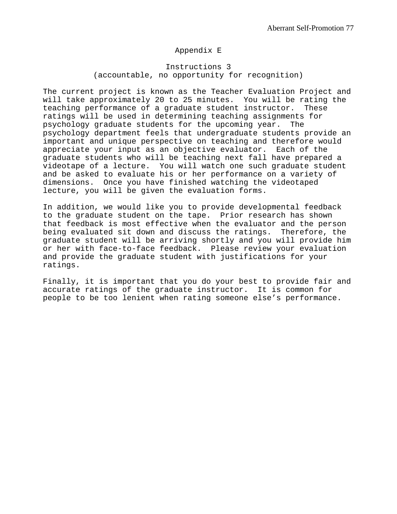# Appendix E

### Instructions 3 (accountable, no opportunity for recognition)

The current project is known as the Teacher Evaluation Project and will take approximately 20 to 25 minutes. You will be rating the teaching performance of a graduate student instructor. These ratings will be used in determining teaching assignments for psychology graduate students for the upcoming year. The psychology department feels that undergraduate students provide an important and unique perspective on teaching and therefore would appreciate your input as an objective evaluator. Each of the graduate students who will be teaching next fall have prepared a videotape of a lecture. You will watch one such graduate student and be asked to evaluate his or her performance on a variety of dimensions. Once you have finished watching the videotaped lecture, you will be given the evaluation forms.

In addition, we would like you to provide developmental feedback to the graduate student on the tape. Prior research has shown that feedback is most effective when the evaluator and the person being evaluated sit down and discuss the ratings. Therefore, the graduate student will be arriving shortly and you will provide him or her with face-to-face feedback. Please review your evaluation and provide the graduate student with justifications for your ratings.

Finally, it is important that you do your best to provide fair and accurate ratings of the graduate instructor. It is common for people to be too lenient when rating someone else's performance.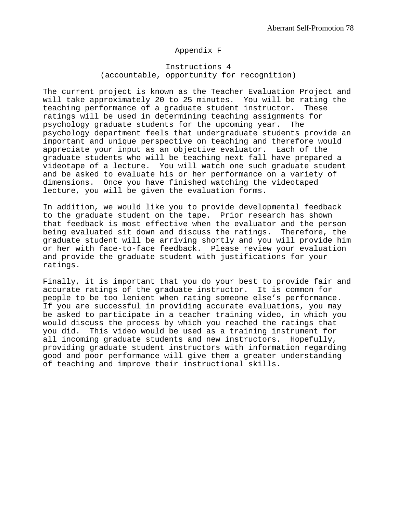## Appendix F

# Instructions 4 (accountable, opportunity for recognition)

The current project is known as the Teacher Evaluation Project and will take approximately 20 to 25 minutes. You will be rating the teaching performance of a graduate student instructor. These ratings will be used in determining teaching assignments for psychology graduate students for the upcoming year. The psychology department feels that undergraduate students provide an important and unique perspective on teaching and therefore would appreciate your input as an objective evaluator. Each of the graduate students who will be teaching next fall have prepared a videotape of a lecture. You will watch one such graduate student and be asked to evaluate his or her performance on a variety of dimensions. Once you have finished watching the videotaped lecture, you will be given the evaluation forms.

In addition, we would like you to provide developmental feedback to the graduate student on the tape. Prior research has shown that feedback is most effective when the evaluator and the person being evaluated sit down and discuss the ratings. Therefore, the graduate student will be arriving shortly and you will provide him or her with face-to-face feedback. Please review your evaluation and provide the graduate student with justifications for your ratings.

Finally, it is important that you do your best to provide fair and accurate ratings of the graduate instructor. It is common for people to be too lenient when rating someone else's performance. If you are successful in providing accurate evaluations, you may be asked to participate in a teacher training video, in which you would discuss the process by which you reached the ratings that you did. This video would be used as a training instrument for all incoming graduate students and new instructors. Hopefully, providing graduate student instructors with information regarding good and poor performance will give them a greater understanding of teaching and improve their instructional skills.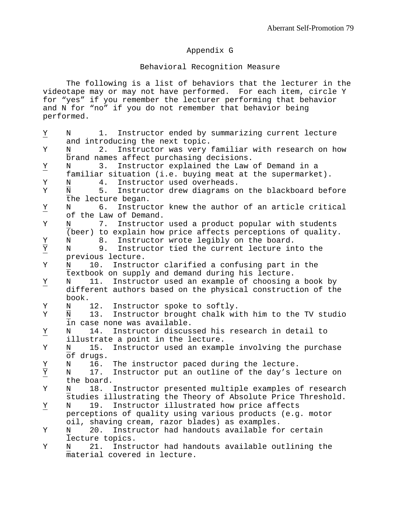# Appendix G

# Behavioral Recognition Measure

The following is a list of behaviors that the lecturer in the videotape may or may not have performed. For each item, circle Y for "yes" if you remember the lecturer performing that behavior and N for "no" if you do not remember that behavior being performed.

| $\overline{\overline{X}}$            | 1.<br>Instructor ended by summarizing current lecture<br>N                       |
|--------------------------------------|----------------------------------------------------------------------------------|
|                                      | and introducing the next topic.                                                  |
| Υ                                    | Instructor was very familiar with research on how<br>N<br>$2$ .                  |
|                                      | brand names affect purchasing decisions.                                         |
| $\overline{\overline{X}}$            | Instructor explained the Law of Demand in a<br>3.<br>N                           |
|                                      | familiar situation (i.e. buying meat at the supermarket).                        |
| Υ                                    | Instructor used overheads.<br>4.<br>Ν                                            |
| $\rm Y$                              | $\overline{\text{N}}$<br>5.<br>Instructor drew diagrams on the blackboard before |
|                                      | the lecture began.                                                               |
| $\overline{\lambda}$                 | 6.<br>Instructor knew the author of an article critical<br>N                     |
|                                      | of the Law of Demand.                                                            |
| Υ                                    | 7.<br>Instructor used a product popular with students<br>N                       |
|                                      | (beer) to explain how price affects perceptions of quality.                      |
|                                      | Instructor wrote legibly on the board.<br>8.<br>N                                |
| $\frac{\overline{X}}{\overline{X}}$  | Instructor tied the current lecture into the<br>N<br>9.                          |
|                                      | previous lecture.                                                                |
| Υ                                    | 10.<br>Instructor clarified a confusing part in the<br>N                         |
|                                      | textbook on supply and demand during his lecture.                                |
| $\overline{X}$                       | Instructor used an example of choosing a book by<br>11.<br>N                     |
|                                      | different authors based on the physical construction of the                      |
|                                      | book.                                                                            |
| Υ                                    | Instructor spoke to softly.<br>12.<br>Ν                                          |
| Y                                    | 13.<br>Instructor brought chalk with him to the TV studio<br>Ν                   |
|                                      | in case none was available.                                                      |
| $\overline{X}$                       | Instructor discussed his research in detail to<br>14.<br>N                       |
|                                      | illustrate a point in the lecture.                                               |
| Υ                                    | Instructor used an example involving the purchase<br>15.<br>N                    |
|                                      | of drugs.                                                                        |
|                                      | 16.<br>The instructor paced during the lecture.<br>N                             |
| $\frac{\overline{X}}{\underline{X}}$ | Instructor put an outline of the day's lecture on<br>17.<br>N                    |
|                                      | the board.                                                                       |
| Υ                                    | Instructor presented multiple examples of research<br>18.<br>N                   |
|                                      | studies illustrating the Theory of Absolute Price Threshold.                     |
| $\underline{\mathtt{Y}}$             | Instructor illustrated how price affects<br>19.<br>N                             |
|                                      | perceptions of quality using various products (e.g. motor                        |
|                                      | oil, shaving cream, razor blades) as examples.                                   |
| Υ                                    | Instructor had handouts available for certain<br>N<br>20.                        |
|                                      | lecture topics.                                                                  |
| Υ                                    | Instructor had handouts available outlining the<br>21.<br>N                      |
|                                      | material covered in lecture.                                                     |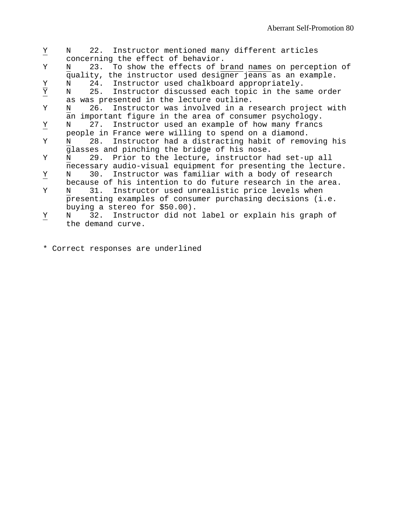| $\overline{X}$                       | 22. Instructor mentioned many different articles<br>N                                                                      |
|--------------------------------------|----------------------------------------------------------------------------------------------------------------------------|
|                                      | concerning the effect of behavior.                                                                                         |
| Y                                    | 23. To show the effects of brand names on perception of<br>N<br>quality, the instructor used designer jeans as an example. |
|                                      | 24. Instructor used chalkboard appropriately.<br>N                                                                         |
| $\frac{\overline{X}}{\underline{Y}}$ | 25. Instructor discussed each topic in the same order<br>N                                                                 |
|                                      | as was presented in the lecture outline.                                                                                   |
| Y                                    | 26. Instructor was involved in a research project with<br>N                                                                |
|                                      | an important figure in the area of consumer psychology.                                                                    |
| Υ                                    | 27. Instructor used an example of how many francs<br>N                                                                     |
|                                      | people in France were willing to spend on a diamond.                                                                       |
| Y                                    | 28. Instructor had a distracting habit of removing his<br>N                                                                |
|                                      | glasses and pinching the bridge of his nose.                                                                               |
| Y                                    | 29. Prior to the lecture, instructor had set-up all<br>N                                                                   |
|                                      | necessary audio-visual equipment for presenting the lecture.                                                               |
| $\overline{\lambda}$                 | 30. Instructor was familiar with a body of research<br>N                                                                   |
|                                      | because of his intention to do future research in the area.                                                                |
| Y                                    | 31. Instructor used unrealistic price levels when<br>N                                                                     |
|                                      | presenting examples of consumer purchasing decisions (i.e.                                                                 |
|                                      | buying a stereo for \$50.00).                                                                                              |
| Υ                                    | 32. Instructor did not label or explain his graph of<br>N                                                                  |
|                                      | the demand curve.                                                                                                          |
|                                      |                                                                                                                            |
|                                      |                                                                                                                            |

\* Correct responses are underlined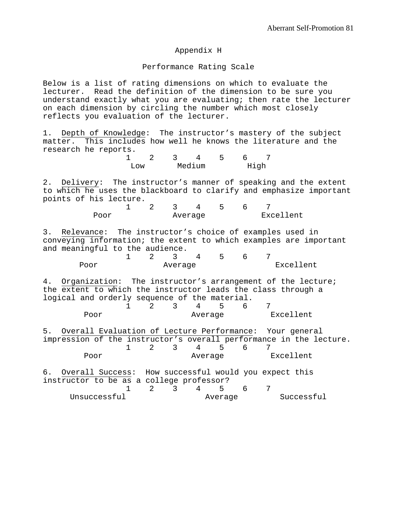### Appendix H

#### Performance Rating Scale

Below is a list of rating dimensions on which to evaluate the lecturer. Read the definition of the dimension to be sure you understand exactly what you are evaluating; then rate the lecturer on each dimension by circling the number which most closely reflects you evaluation of the lecturer.

1. Depth of Knowledge: The instructor's mastery of the subject matter. This includes how well he knows the literature and the research he reports.

| ⊺ı∩w |  | Medium | High |  |
|------|--|--------|------|--|

2. Delivery: The instructor's manner of speaking and the extent to which he uses the blackboard to clarify and emphasize important points of his lecture.

| Poor |  | Average |  |  |  | Excellent |  |
|------|--|---------|--|--|--|-----------|--|

3. Relevance: The instructor's choice of examples used in conveying information; the extent to which examples are important and meaningful to the audience.

| Poor |  | Average |  | Excellent |  |  |
|------|--|---------|--|-----------|--|--|

4. Organization: The instructor's arrangement of the lecture; the extent to which the instructor leads the class through a logical and orderly sequence of the material.  $2 \t3 \t4 \t5 \t6 \t7$ 

| Poor |  | Average |  | Excellent |
|------|--|---------|--|-----------|

5. Overall Evaluation of Lecture Performance: Your general impression of the instructor's overall performance in the lecture. 1 2 3 4 5 6 7 Poor **Average Excellent** 

6. Overall Success: How successful would you expect this instructor to be as a college professor? 1 2 3 4 5 6 7 Unsuccessful **Average** Successful